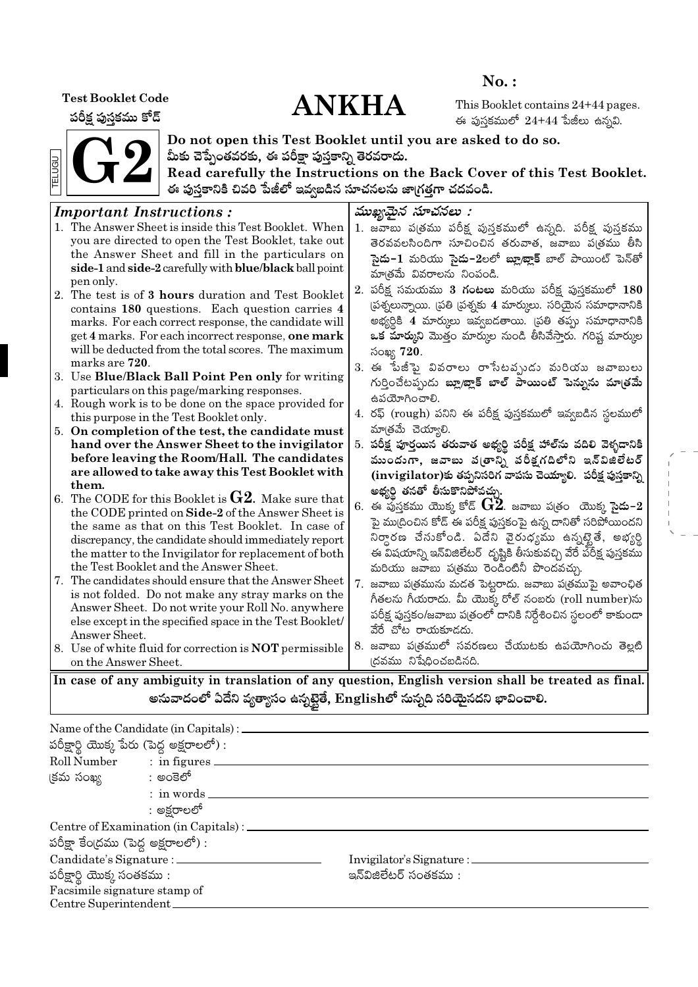**Test Booklet Code** 

పరీక్ష పుస్తకము కోడ్

# **ANKHA**

 $No.$ :

This Booklet contains 24+44 pages. ఈ పుస్తకములో  $24+44$  పేజీలు ఉన్నవి.



Do not open this Test Booklet until you are asked to do so. మీకు చెప్పేంతవరకు, ఈ పరీక్షా పుస్తకాన్ని తెరవరాదు.

Read carefully the Instructions on the Back Cover of this Test Booklet. ఈ పుస్తకానికి చివరి పేజీలో ఇవ్వబడిన సూచనలను జా(గత్తగా చదవండి.

#### ముఖ్యమైన సూచనలు : **Important Instructions:** 1. The Answer Sheet is inside this Test Booklet. When 1. జవాబు ప(తము పరీక్ష పుస్తకములో ఉన్నది. పరీక్ష పుస్తకము vou are directed to open the Test Booklet, take out తెరవవలసిందిగా సూచించిన తరువాత, జవాబు ప(తము తీసి the Answer Sheet and fill in the particulars on సై**దు−1** మరియు సై**దు−2**లలో **బ్లూబ్లాక్** బాల్ పాయింట్ పెన్తో side-1 and side-2 carefully with blue/black ball point మాత్రమే వివరాలను నింపండి. pen only. 2. పరీక్ష సమయము 3 **గంటలు** మరియు పరీక్ష పుస్తకములో 180 2. The test is of 3 hours duration and Test Booklet (పశ్నలున్నాయి. (పతి (పశ్నకు 4 మార్కులు. సరియైన సమాధానానికి contains 180 questions. Each question carries 4 అభ్యర్ధికి 4 మార్కులు ఇవ్వబడతాయి. (పతి తప్పు సమాధానానికి marks. For each correct response, the candidate will get 4 marks. For each incorrect response, one mark ఒక మార్కుని మొత్తం మార్కుల నుండి తీసివేస్తారు. గరిష్ట మార్కుల will be deducted from the total scores. The maximum సంఖ్య 720. marks are 720. 3. ఈ పేజీపై వివరాలు రాసేటవృుడు మరియు జవాబులు 3. Use Blue/Black Ball Point Pen only for writing గుర్తించేటప్పుడు బ్లూ/జ్లాక్ బాల్ పాయింట్ పెన్నును మాత్రమే particulars on this page/marking responses. ఉపయోగించాలి. 4. Rough work is to be done on the space provided for 4. రఫ్ (rough) పనిని ఈ పరీక్ష పుస్తకములో ఇవ్వబడిన స్థలములో this purpose in the Test Booklet only. మాత్రమే చెయ్యాలి. 5. On completion of the test, the candidate must 5. పరీక్ష పూర్తయిన తరువాత అభ్యర్థి పరీక్ష హాల్ ను వదిలి వెళ్ళడానికి hand over the Answer Sheet to the invigilator before leaving the Room/Hall. The candidates ముందుగా, జవాబు వ(తాన్ని పరీక్షగదిలోని ఇన్విజిలేటర్ are allowed to take away this Test Booklet with  $(i$ nvigilator)కు తప్పనిసరిగ వాపసు చెయ్యాలి. పరీక్ష పుస్తకాన్ని them. అభ్యర్థి తనతో తీసుకొనిపోవచ్చు. 6. The CODE for this Booklet is  $G2$ . Make sure that  $6.$  ఈ ఫుస్తకము యొక్క కోడ్  $\bf G2$ . జవాబు ప(తం యొక్క సై**డు–** $2$ the CODE printed on Side-2 of the Answer Sheet is పై ము(దించిన కోడ్ ఈ పరీక్ష పుస్తకంపై ఉన్న దానితో సరిపోయిందని the same as that on this Test Booklet. In case of నిర్ధారణ చేసుకోండి. ఏదేని వైరుధ్యము ఉన్నట్టైతే, అభ్యర్థి discrepancy, the candidate should immediately report the matter to the Invigilator for replacement of both ఈ విషయాన్ని ఇన్విజిలేటర్ దృష్టికి తీసుకువచ్చి వేరే పరీక్ష పుస్తకము the Test Booklet and the Answer Sheet. మరియు జవాబు పత్రము రెండింటినీ పొందవచ్చు. 7. The candidates should ensure that the Answer Sheet 7. జవాబు ప(త్రమును మడత పెట్టరాదు. జవాబు ప(త్రముపై అవాంఛిత is not folded. Do not make any stray marks on the గీతలను గీయరాదు. మీ యొక్క రోల్ నంబరు (roll number)ను Answer Sheet. Do not write your Roll No. anywhere పరీక్ష పుస్తకం/జవాబు పత్రంలో దానికి నిర్దేశించిన స్థలంలో కాకుండా else except in the specified space in the Test Booklet/ వేరే చోట రాయకూడదు. Answer Sheet. 8. జవాబు పఁ్రతములో సవరణలు చేయుటకు ఉపయోగించు తెల్లటి 8. Use of white fluid for correction is **NOT** permissible ।దవము నిషేధించబడినది. on the Answer Sheet.

In case of any ambiguity in translation of any question, English version shall be treated as final. అనువాదంలో ఏదేని వ్యత్యాసం ఉన్నటైతే, Englishలో నున్నది సరియైనదని భావించాలి.

|                                            | Name of the Candidate (in Capitals) : _____        |                                  |  |  |  |  |  |  |
|--------------------------------------------|----------------------------------------------------|----------------------------------|--|--|--|--|--|--|
| పరీక్షార్థి యొక్క పేరు (పెద్ద అక్షరాలలో) : |                                                    |                                  |  |  |  |  |  |  |
|                                            | Roll Number : in figures                           |                                  |  |  |  |  |  |  |
| క్రమ సంఖ్య సాంతా : అంకెలో                  |                                                    |                                  |  |  |  |  |  |  |
|                                            | $:$ in words $\_\_$                                |                                  |  |  |  |  |  |  |
| : అక్షరాలలో                                |                                                    |                                  |  |  |  |  |  |  |
|                                            | Centre of Examination (in Capitals) : ________     |                                  |  |  |  |  |  |  |
| పరీక్షా కేంద్రము (పెద్ద అక్షరాలలో) :       |                                                    |                                  |  |  |  |  |  |  |
| Candidate's Signature : _________          |                                                    | Invigilator's Signature : ______ |  |  |  |  |  |  |
|                                            | పరీక్షార్థి యొక్క సంతకము :<br>ఇన్ఏజిలేటర్ సంతకము : |                                  |  |  |  |  |  |  |
| Facsimile signature stamp of               |                                                    |                                  |  |  |  |  |  |  |
| Centre Superintendent_                     |                                                    |                                  |  |  |  |  |  |  |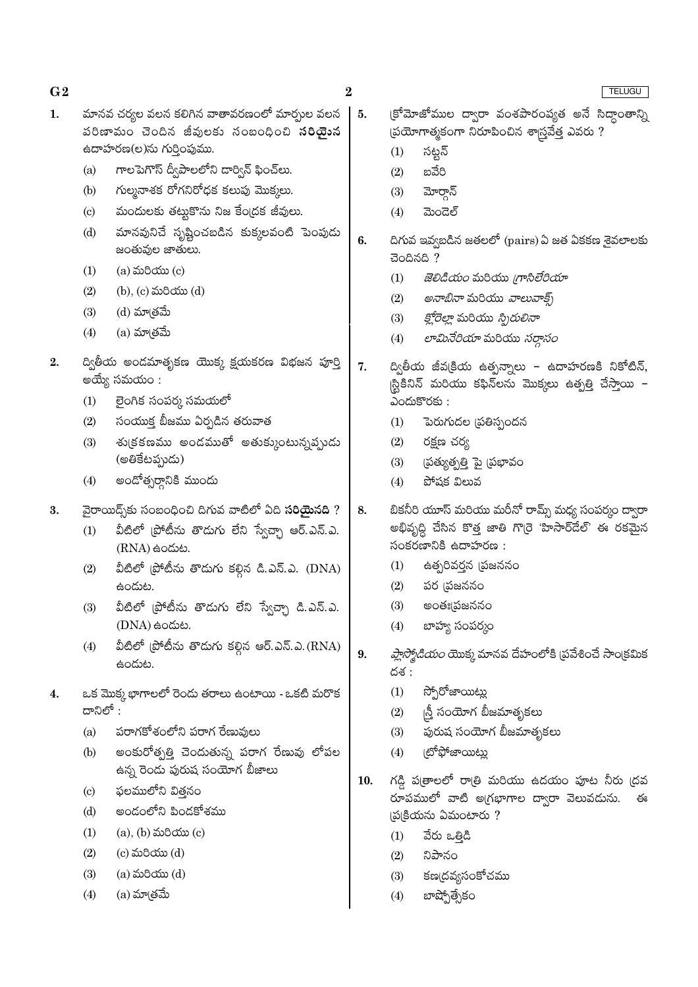| $\bf{G2}$ |                            |                                                                                                                                                                                                             | $\bf{2}$ |                   | TELUGU                                                                                                                             |
|-----------|----------------------------|-------------------------------------------------------------------------------------------------------------------------------------------------------------------------------------------------------------|----------|-------------------|------------------------------------------------------------------------------------------------------------------------------------|
| 1.        | (a)<br>(b)                 | మానవ చర్యల వలన కలిగిన వాతావరణంలో మార్పుల వలన<br>పరిణామం చెందిన జీవులకు సంబంధించి <b>సరియైన</b><br>ఉదాహరణ(ల)ను గుర్తింపుము.<br>గాలపెగొస్ ద్వీపాలలోని డార్విన్ ఫించ్లు.<br>గుల్మనాశక రోగనిరోధక కలుపు మొక్కలు. | 5.       | (1)<br>(2)<br>(3) | క్రోమోజోముల ద్వారా వంశపారంప్యత అనే సిద్దాంతాన్ని<br>ప్రయోగాత్మకంగా నిరూపించిన శాస్త్రవేత్త ఎవరు ?<br>సట్టన్<br>బవేరి<br>మోర్తాన్   |
|           | $\left( \mathrm{c}\right)$ | మందులకు తట్టుకొను నిజ కేంద్రక జీవులు.                                                                                                                                                                       |          | (4)               | ಮಂದಲ್                                                                                                                              |
|           | (d)                        | మానవునిచే సృష్టించబడిన కుక్కలవంటి పెంపుడు<br>జంతువుల జాతులు.                                                                                                                                                | 6.       |                   | దిగువ ఇవ్వబడిన జతలలో (pairs) ఏ జత ఏకకణ శైవలాలకు<br>చెందినది ?                                                                      |
|           | (1)                        | $(a)$ మరియు $(c)$                                                                                                                                                                                           |          | (1)               | <i>జెలిడియం</i> మరియు <i>గ్రాసిలేరియా</i>                                                                                          |
|           | (2)                        | (b), (c) మరియు (d)                                                                                                                                                                                          |          | (2)               | <i>అనాబినా</i> మరియు <i>వాలువాక్స్</i>                                                                                             |
|           | (3)                        | (d) మాత్రమే                                                                                                                                                                                                 |          | (3)               | <i>క్లోరెల్లా</i> మరియు <i>స్పిరులినా</i>                                                                                          |
|           | (4)                        | (a) మాత్రమే                                                                                                                                                                                                 |          | (4)               | లామినేరియా మరియు సర్దాసం                                                                                                           |
| 2.        | (1)                        | ద్వితీయ అండమాతృకణ యొక్క క్షయకరణ విభజన పూర్తి<br>అయ్యే సమయం :<br>లైంగిక సంపర్క సమయలో                                                                                                                         | 7.       |                   | ద్వితీయ జీవ(కియ ఉత్పన్నాలు – ఉదాహరణకి నికోటిన్,<br> స్టికినిన్ మరియు కఫిన్లను మొక్కలు ఉత్పత్తి చేస్తాయి –<br>ఎందుకొరకు:            |
|           | (2)                        | సంయుక్త బీజము ఏర్పడిన తరువాత                                                                                                                                                                                |          | (1)               | పెరుగుదల (పతిస్పందన                                                                                                                |
|           | (3)                        | శు(కకణము అండముతో అతుక్కుంటున్నప్పుడు<br>(అతికేటప్పుడు)                                                                                                                                                      |          | (2)<br>(3)        | రక్షణ చర్య<br>(పత్యుత్పత్తి పై (పభావం                                                                                              |
|           | (4)                        | అందోత్సర్గానికి ముందు                                                                                                                                                                                       |          | (4)               | పోషక విలువ                                                                                                                         |
| 3.        | (1)                        | వైరాయిద్స్తోకు సంబంధించి దిగువ వాటిలో ఏది <b>సరియైనది</b> ?<br>వీటిలో (పోటీను తొడుగు లేని స్వేచ్చా ఆర్.ఎన్.ఎ.<br>$(RNA)$ ఉందుట.                                                                             | 8.       |                   | బికనీరి యూస్ మరియు మరీనో రామ్స్ మధ్య సంపర్కం ద్వారా<br>అభివృద్ధి చేసిన కొత్త జాతి గొ(రె 'హిసార్దేల్' ఈ రకమైన<br>సంకరణానికి ఉదాహరణ: |
|           | (2)                        | వీటిలో (పోటీను తొడుగు కల్గిన డి.ఎన్.ఎ. (DNA)                                                                                                                                                                |          | (1)               | ఉత్పరివర్తన (పజననం                                                                                                                 |
|           |                            | ఉందుట.                                                                                                                                                                                                      |          | (2)               | పర (పజననం                                                                                                                          |
|           | (3)                        | వీటిలో (పోటీను తొడుగు లేని స్వేచ్ఛా డి.ఎన్.ఎ.                                                                                                                                                               |          | (3)               | అంతః¦్రజననం                                                                                                                        |
|           |                            | (DNA) සංයාහ.                                                                                                                                                                                                |          | (4)               | బాహ్య సంపర్కం                                                                                                                      |
|           | (4)                        | వీటిలో (పోటీను తొదుగు కల్గిన ఆర్.ఎన్.ఎ. (RNA)<br>ఉందుట.                                                                                                                                                     | 9.       | దశ :              | <i>ప్లాస్మోడియం</i> యొక్క మానవ దేహంలోకి (పవేశించే సాంక్రమిక                                                                        |
| 4.        |                            | ఒక మొక్క భాగాలలో రెండు తరాలు ఉంటాయి - ఒకటి మరొక                                                                                                                                                             |          | (1)               | స్పోరోజాయిట్లు                                                                                                                     |
|           | దానిలో :                   |                                                                                                                                                                                                             |          | (2)               | న్తీ సంయోగ బీజమాతృకలు                                                                                                              |
|           | (a)                        | పరాగకోశంలోని పరాగ రేణువులు                                                                                                                                                                                  |          | (3)               | పురుష సంయోగ బీజమాతృకలు                                                                                                             |
|           | (b)                        | అంకురోత్పత్తి చెందుతున్న పరాగ రేణువు లోపల<br>ఉన్న రెండు పురుష సంయోగ బీజాలు                                                                                                                                  |          | (4)               | (టోఫోజాయిట్లు                                                                                                                      |
|           | $\left( \mathrm{c}\right)$ | ఫలములోని విత్తనం                                                                                                                                                                                            | 10.      |                   | గడ్డి ప(తాలలో రాత్రి మరియు ఉదయం పూట నీరు (దవ                                                                                       |
|           | (d)                        | అండంలోని పిండకోశము                                                                                                                                                                                          |          |                   | రూపములో వాటి అ(గభాగాల ద్వారా వెలువదును.<br>ఈ<br>[ప(కియను ఏమంటారు?                                                                  |
|           | (1)                        | $(a)$ , $(b)$ మరియు $(c)$                                                                                                                                                                                   |          | (1)               | వేరు ఒత్తిడి                                                                                                                       |
|           | (2)                        | $(c)$ మరియు $(d)$                                                                                                                                                                                           |          | (2)               | నిపానం                                                                                                                             |
|           | (3)                        | $(a)$ మరియు $(d)$                                                                                                                                                                                           |          | (3)               | కణ(దవ్యసంకోచము                                                                                                                     |
|           |                            |                                                                                                                                                                                                             |          |                   |                                                                                                                                    |

 $(4)$ (a) మా<sub></sub>తమే  $(4)$   $\exp(\frac{\pi}{6})$   $\sin(\frac{\pi}{6})$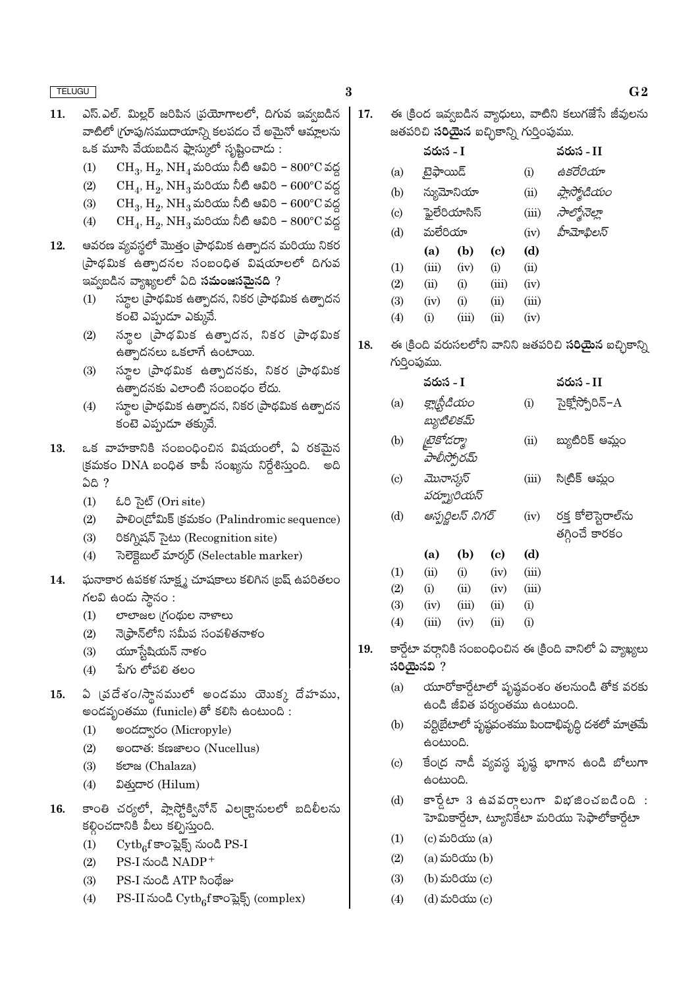- ఎస్.ఎల్. మిల్లర్ జరిపిన (పయోగాలలో, దిగువ ఇవ్వబడిన 11. వాటిలో (గూపు/సముదాయాన్ని కలపడం చే అమైనో ఆమ్లాలను .<br>ఒక మూసి వేయబడిన ఫ్లాస్ములో సృష్టించాడు :
	- $CH_3$ ,  $H_2$ ,  $NH_4$  మరియు నీటి ఆవిరి  $800^{\circ}$ C వద్ద  $(1)$
	- $CH_4$ ,  $H_2$ ,  $NH_3$  మరియు నీటి ఆవిరి  $600^{\circ}$ C వద్ద  $(2)$
	- $CH_3$ ,  $H_2$ ,  $NH_3$  మరియు నీటి ఆవిరి 600°C వద్ద  $(3)$
	- $CH_4$ ,  $H_2$ ,  $NH_3$  మరియు నీటి ఆవిరి  $800^{\circ}$ C వద్ద  $(4)$
- ఆవరణ వ్యవస్థలో మొత్తం (పాథమిక ఉత్పాదన మరియు నికర 12. (పాథమిక ఉత్సాదనల సంబంధిత విషయాలలో దిగువ ఇవ్వబడిన వ్యాఖ్యలలో ఏది **సమంజసమైనది** ?
	- స్థూల (పాథమిక ఉత్పాదన, నికర (పాథమిక ఉత్పాదన  $(1)$ కంటె ఎప్పుడూ ఎక్కువే.
	- స్థూల (పాథమిక ఉత్పాదన, నికర (పాథమిక  $(2)$ ఉత్పాదనలు ఒకలాగే ఉంటాయి.
	- స్థూల (పాథమిక ఉత్పాదనకు, నికర (పాథమిక  $(3)$ ఉత్పాదనకు ఎలాంటి సంబంధం లేదు.
	- స్మూల (పాథమిక ఉత్పాదన, నికర (పాథమిక ఉత్పాదన  $(4)$ కంటె ఎప్పుడూ తక్కువే.
- 13. ఒక వాహకానికి సంబంధించిన విషయంలో, ఏ రకమైన (కమకం DNA బంధిత కాపీ సంఖ్యను నిర్దేశిస్తుంది. అది <u>ධයි ?</u>
	- ಓರಿ ಸಚಿತ್ (Ori site)  $(1)$
	- పాలిం(డోమిక్ (కమకం (Palindromic sequence)  $(2)$
	- రికగ్నిషన్ సైటు (Recognition site)  $(3)$
	- సెలెక్టెబుల్ మార్కర్ (Selectable marker)  $(4)$
- ఘనాకార ఉపకళ సూక్ష్మ చూషకాలు కలిగిన (బష్ ఉపరితలం 14. గలవి ఉండు స్థానం :
	- లాలాజల (గంథుల నాళాలు  $(1)$
	- నె(ఫ్రాన్లోని సమీప సంవళితనాళం  $(2)$
	- యూస్టేషియన్ నాళం  $(3)$
	- పేగు లోపలి తలం  $(4)$
- ఏ (వదేశం/స్థానములో అండము యెుక్క దేహము, 15. అందవృంతము (funicle) తో కలిసి ఉంటుంది:
	- అండద్వారం (Micropyle)  $(1)$
	- $(2)$ මංයාණ: ජකෂාවර (Nucellus)
	- ජ**ு** (Chalaza)  $(3)$
	- వితుదార (Hilum)  $(4)$
- కాంతి చర్యలో, ప్లాస్టోక్వినోన్ ఎల్కక్టానులలో బదిలీలను 16. కల్గించడానికి వీలు కల్పిస్తుంది.
	- $\mathrm{Cytb}_6$ f కాంప్లెక్స్ నుండి PS-I  $(1)$
	- PS-I నుండి NADP<sup>+</sup>  $(2)$
	- PS-I నుండి ATP సిందేజు  $(3)$
	- PS-II నుండి Cytb<sub>6</sub>f కాంప్లెక్స్ (complex)  $(4)$
- ఈ క్రింద ఇవ్వబడిన వ్యాధులు, వాటిని కలుగజేసే జీవులను 17. జతపరిచి **సరియైన** ఐచ్చికాన్ని గుర్తింపుము.
	- వరుస I వరుస - II టైఫాయిడ్ ఉకరేరియా  $(a)$  $(i)$ న్యుమోనియా ప్లాస్మోడియం  $(b)$  $(ii)$
	- ఫైలేరియాసిస్ సాల్మోనెల్హా  $(c)$  $(iii)$
	- మలేరియా  $(d)$ హీమోపిలస్  $(iv)$  $\overline{A}$

|            | (a)   | (D)      | w        | (a)   |
|------------|-------|----------|----------|-------|
| (1)        | (iii) | (iv)     | $\rm(i)$ | (ii)  |
| (2)        | (ii)  | $\rm(i)$ | (iii)    | (iv)  |
| <b>(3)</b> | (iv)  | $\rm(i)$ | (ii)     | (iii) |
| $\Delta$   | (i)   | (iii)    | (11)     | (iv)  |

ఈ క్రింది వరుసలలోని వానిని జతపరిచి **సరియైన** ఐచ్చికాన్ని 18. గుర్తింపుము.

|     | వరుస - I                     |      | వరుస - II        |
|-----|------------------------------|------|------------------|
| (a) | క్లా[స్టీడియం<br>బ్యుటిలికమ్ | (i)  | సైక్లోస్పోరిన్-A |
| (b) | [టైకోడర్మా<br>హేలీస్పోరమ్    | (ii) | బ్యుటిరిక్ ఆమ్లం |

- $(c)$ మొనాస్మస్  $(iii)$ సి(టిక్ ఆమ్లం పర్బూరియస్
- ఆస్పర్జిలస్ నిగర్ రక్త కోలెస్టెరాల్సు  $(d)$  $(iv)$ తగ్గించే కారకం
- $(d)$ (b) (a)  $\left( \mathrm{c} \right)$  $(1)$  $(ii)$  $(i)$  $(iv)$  $(iii)$  $(2)$  $(i)$  $(ii)$  $(iv)$  $(iii)$  $(3)$  $(iv)$  $(iii)$  $(ii)$  $(i)$  $(4)$  $(iii)$  $(iv)$  $(ii)$  $(i)$
- కార్డేటా వర్గానికి సంబంధించిన ఈ క్రింది వానిలో ఏ వ్యాఖ్యలు 19.  $\delta$ විශු කිරීම  $\delta$ 
	- యూరోకార్డేటాలో పృష్ఠవంశం తలనుండి తోక వరకు  $(a)$ ఉండి జీవిత పర్యంతము ఉంటుంది.
	- వర్టిబేటాలో పృష్ణవంశము పిందాభివృద్ధి దశలో మాత్రమే  $(b)$ ఉంటుంది.
	- కేంద్ర నాడీ వ్యవస్థ పృష్ణ భాగాన ఉండి బోలుగా  $(c)$ ఉంటుంది.
	- కార్డేటా 3 ఉవవర్తాలుగా విభజించబడింది :  $(d)$ హెమికార్డేటా, ట్యూనికేటా మరియు సెఫాలోకార్డేటా
	- $(c)$  మరియు $(a)$  $(1)$
	- $(2)$ (a) మరియు (b)
	- $(3)$ (b) మరియు (c)
	- $(4)$ (d) మరియు (c)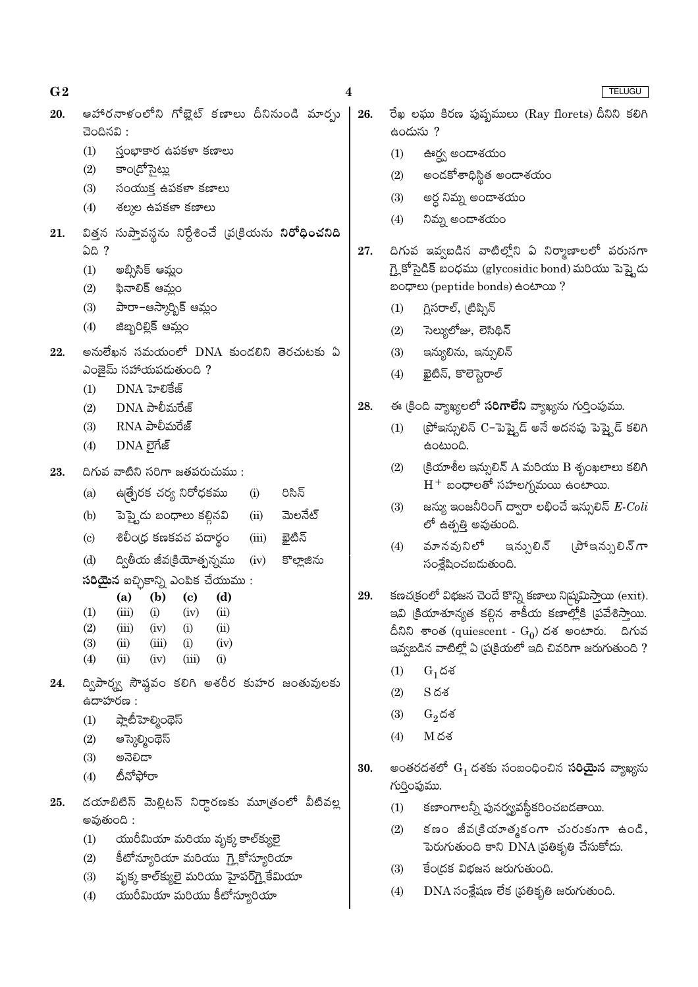ఆహారనాళంలోని గోబైట్ కణాలు దీనినుండి మార్చు రేఖ లఘు కిరణ పుష్పములు (Ray florets) దీనిని కలిగి 20. 26. ఉందును ?  $300000$ : స్తంభాకార ఉపకళా కణాలు  $(1)$  $(1)$ ఊర్వ అందాశయం కాం[డోసైట్లు  $(2)$ అందకోశాధిస్థిత అందాశయం  $(2)$  $(3)$ సంయుక్త ఉపకళా కణాలు  $(3)$ అర్ధ నిమ్న అందాశయం శల్మల ఉపకళా కణాలు  $(4)$  $(4)$ నిమ్న అండాశయం విత్తన సుప్తావస్థను నిర్దేశించే వ్రుక్రియను ని**రోధించనిది** 21. <u>ධයි ?</u> 27. దిగువ ఇవ్వబడిన వాటిల్లోని ఏ నిర్మాణాలలో వరుసగా గ్లై కోసైడిక్ బంధము (glycosidic bond) మరియు పెప్టైడు  $(1)$ అబ్సిసిక్ ఆమ్లం ಬಂಧಾಲು (peptide bonds) ಹಿಂಟಾಯ ? ఫినాలిక్ ఆమ్లం  $(2)$ పారా–ఆస్కార్భిక్ ఆమ్లం గ్లిసరాల్, (టిప్పిన్  $(3)$  $(1)$ జిబ్బరిల్లిక్ ఆమ్లం  $(4)$ సెల్యులోజు, లెసిథిన్  $(2)$ అనులేఖన సమయంలో DNA కుండలిని తెరచుటకు ఏ  $(3)$ ఇన్యులిను, ఇన్పులిన్ 22. ఎంజైమ్ సహాయపడుతుంది? ఖైటిన్, కొలెస్టెరాల్  $(4)$  $DNA$  హెలికేజ్  $(1)$ ఈ క్రింది వ్యాఖ్యలలో సరిగాలేని వ్యాఖ్యను గుర్తింపుము. 28.  $DNA$  పాలీమరేజ్  $(2)$ ట్రోఇన్సులిన్ C-పెప్తైడ్ అనే అదనపు పెప్త్టెడ్ కలిగి  $\rm{RNA}$  పాలీమరేజ్  $(3)$  $(1)$ DNA లైగేజ్ ఉంటుంది.  $(4)$  $(2)$  $\beta$ యాశీల ఇన్సులిన్ A మరియు B శృంఖలాలు కలిగి దిగువ వాటిని సరిగా జతపరుచుము : 23  $H^+$  బంధాలతో సహలగ్నమయి ఉంటాయి. ఉత్పేరక చర్య నిరోధకము రిసిన్  $(i)$  $(a)$ జన్యు ఇంజనీరింగ్ ద్వారా లభించే ఇన్సులిన్  $\emph{E-Coli}$  $(3)$ పెప్త్టెడు బంధాలు కల్గినవి మెలనేట్  $(ii)$  $(b)$ లో ఉత్పత్తి అవుతుంది. శిలీం(ధ కణకవచ పదార్థం ఖైటిన్  $(iii)$  $\left( \text{c} \right)$ వూనవునిలో  $(4)$ ఇన్పులిన్ ద్వితీయ జీవ(కియోత్సన్నము కొల్హాజిను  $(d)$  $(iv)$ సంశ్రేషించబడుతుంది.  $\delta$ రియైన ఐచ్చికాన్ని ఎంపిక చేయుము: కణచ(కంలో విభజన చెందే కొన్ని కణాలు ని)ష్రమిస్తాయి (exit). 29.  $(a)$ (b)  $(c)$  $(d)$ ఇవి క్రియాశూన్యత కల్గిన శాకీయ కణాల్లోకి (పవేశిస్తాయి.  $(1)$  $(iii)$  $(i)$  $(iv)$  $(ii)$  $(2)$  $(iii)$  $(iv)$  $(i)$  $(ii)$ దీనిని శాంత (quiescent -  $\mathrm{G}_{0}$ ) దశ అంటారు. దిగువ  $(3)$  $(ii)$  $(iii)$  $(iv)$  $(i)$ ఇవ్వబడిన వాటిల్లో ఏ (ప్రక్రియలో ఇది చివరిగా జరుగుతుంది ?  $(4)$  $(ii)$  $(iv)$  $(iii)$  $(i)$  $(1)$  $G_1$ దశ ద్విపార్శ్వ సౌష్ఠవం కలిగి అశరీర కుహర జంతువులకు 24.  $S<sub>0</sub>$ శ  $(2)$  $\dot{\text{tan}}$ హరణ :  $(3)$  $G_2$ దశ ప్లాటీహెల్మింథెస్  $(1)$  $(4)$  $M$ దశ ఆస్కెల్మింథెస్  $(2)$ ಅನೆಲಿದ್  $(3)$ అంతరదశలో  $G_1$  దశకు సంబంధించిన **సరియైన** వ్యాఖ్యను 30. టీనోపోరా  $(4)$ గుర్తింపుము. డయాబిటిస్ మెల్లిటస్ నిర్ధారణకు మూత్రంలో వీటివల్ల 25.  $(1)$ కణాంగాలన్నీ పునర్య్యవస్థీకరించబడతాయి. అవుతుంది : కణం జీవ(కియాత్మకంగా చురుకుగా ఉండి,  $(2)$ యురీమియా మరియు వృక్క కాల్క్యులై  $(1)$ పెరుగుతుంది కాని DNA ప్రతికృతి చేసుకోదు. కీటోన్యూరియా మరియు గ్లైకోస్యూరియా  $(2)$  $(3)$ కేందక విభజన జరుగుతుంది. వృక్క కాల్క్యులై మరియు హైపర్గ్లైకేమియా  $(3)$ 

యురీమియా మరియు కీటోన్యూరియా

 $(4)$ 

 $\boldsymbol{4}$ 

 $G<sub>2</sub>$ 

 $DNA$  సంశ్లేషణ లేక (పతికృతి జరుగుతుంది.  $(4)$ 

TELUGU

(పోఇన్పులిన్ గా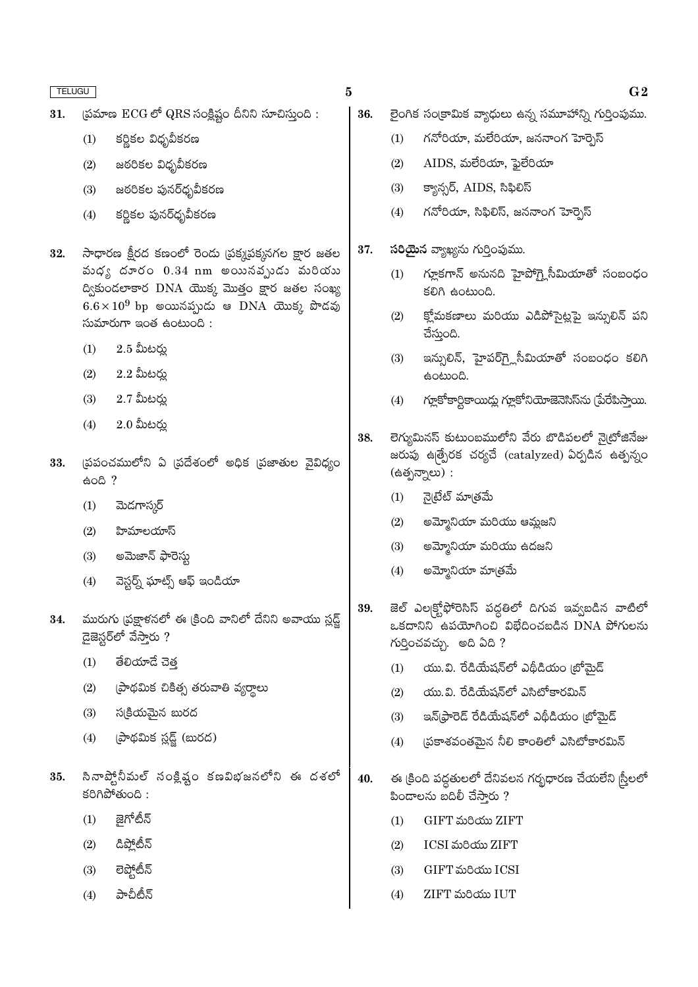- $\beta$ మాణ ECG లో QRS సంక్షిష్టం దీనిని సూచిస్తుంది: 31.
	- కర్ణికల విధృవీకరణ  $(1)$
	- $(2)$ జఠరికల విధృవీకరణ
	- $(3)$ జఠరికల పునర్ధృవీకరణ
	- కర్ణికల పునర్ధృవీకరణ  $(4)$
- సాధారణ క్షీరద కణంలో రెండు (పక్కపక్కనగల క్షార జతల 32. మధ్య దూరం  $0.34$  nm అయినవృుడు మరియు ద్వికుండలాకార DNA యొక్క మొత్తం క్షార జతల సంఖ్య  $6.6 \times 10^9$  bp అయినప్పుడు ఆ DNA యొక్క పొడవు  $\omega$ మారుగా ఇంత ఉంటుంది:
	- $2.5$  మీటర్న  $(1)$
	- $2.2$  మీటర్లు  $(2)$
	- $(3)$  $2.7$  మీటర్లు
	- $2.0$  మీటర్లు  $(4)$
- (పపంచములోని ఏ (పదేశంలో అధిక (పజాతుల వైవిధ్యం 33.  $\frac{1}{6}$ oh<sup>?</sup>
	- మెడగాస్మర్  $(1)$
	- $(2)$ హిమాలయాస్
	- అమెజాన్ ఫారెస్తు  $(3)$
	- వెస్టర్న్ ఘాట్స్ ఆఫ్ ఇండియా  $(4)$
- మురుగు (పక్షాళనలో ఈ (కింది వానిలో దేనిని అవాయు స్లడ్జ్ 34. డైజెస్టర్లో వేస్తారు ?
	- తేలియాదే చెత  $(1)$
	- (పాథమిక చికిత్స తరువాతి వ్యర్థాలు  $(2)$
	- స(కియమైన బురద  $(3)$
	- (పాథమిక స్లడ్ట్ (బురద)  $(4)$
- సినాప్తోనీమల్ సంక్లిష్టం కణవిభజనలోని ఈ దశలో 35.  $500$   $\frac{1}{200}$ 
	- జైగోటీన్  $(1)$
	- డిపోటీన్  $(2)$
	- లెప్తోటీన్  $(3)$
	- పాచీటీన్  $(4)$
- $\bf{5}$ 
	- 36. లైంగిక సంక్రామిక వ్యాధులు ఉన్న సమూహాన్ని గుర్తింపుము.
		- గనోరియా, మలేరియా, జననాంగ హెర్నెస్  $(1)$
		- $(2)$  $AIDS$ , మలేరియా, ఫైలేరియా
		- $(3)$ క్యాన్సర్, AIDS, సిఫిలిస్
		- గనోరియా, సిఫిలిస్, జననాంగ హెర్నెస్  $(4)$
	- 37. సరియైన వ్యాఖ్యను గుర్తింపుము.
		- గ్మూకగాన్ అనునది హైపోగ్హైసీమియాతో సంబంధం  $(1)$ కలిగి ఉంటుంది.
		- క్తోమకణాలు మరియు ఎడిపోసైట్లపై ఇన్సులిన్ పని  $(2)$ చేస్తుంది.
		- ఇన్సులిన్, హైపర్గ్లోసీమియాతో సంబంధం కలిగి  $(3)$ ఉంటుంది.
		- గ్లూకోకార్టికాయిద్లు గ్లూకోనియోజెనెసిస్ను (పేరేపిస్తాయి.  $(4)$
	- లెగ్యుమినస్ కుటుంబములోని వేరు బొడిపలలో నైట్రోజినేజు 38. జరుపు ఉత్పేరక చర్యచే (catalyzed) ఏర్పడిన ఉత్పన్నం (ఉత్పన్నాలు) :
		- నైట్రేట్ మాత్రమే  $(1)$
		- $(2)$ అమ్మోనియా మరియు ఆమ్లజని
		- $(3)$ అమ్మోనియా మరియు ఉదజని
		- అమ్మోనియా మాౖతమే  $(4)$
	- జెల్ ఎల<sub>(</sub>క్టోఫోరెసిస్ పద్ధతిలో దిగువ ఇవ్వబడిన వాటిలో 39.  $\alpha$ కదానిని ఉపయోగించి విభేదించబడిన DNA పోగులను గుర్తించవచ్చు. అది ఏది ?
		- యు.వి. రేడియేషన్లో ఎథీడియం బోమెడ్  $(1)$
		- యు.వి. రేడియేషన్లో ఎసిటోకారమిన్  $(2)$
		- ఇన్(ఫారెడ్ రేడియేషన్లో ఎథీడియం (బోమైడ్  $(3)$
		- (పకాశవంతమైన నీలి కాంతిలో ఎసిటోకారమిన్  $(4)$
	- ఈ క్రింది పద్ధతులలో దేనివలన గర్భధారణ చేయలేని స్ర్రీలలో 40. పిందాలను బదిలీ చేసారు ?
		- GIFT మరియు ZIFT  $(1)$
		- ICSI మరియు ZIFT  $(2)$
		- GIFT మరియు ICSI  $(3)$
		- ZIFT మరియు IUT  $(4)$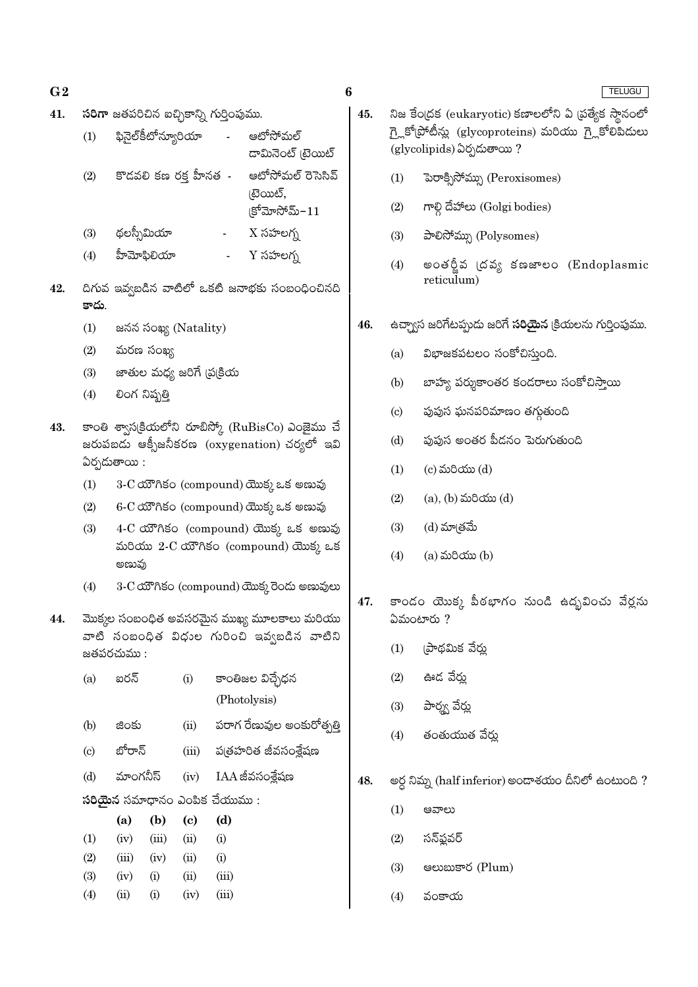- $G<sub>2</sub>$
- సరిగా జతపరిచిన ఐచ్చికాన్ని గుర్తింపుము. 41.
	- ఫినైల్కీటోన్యూరియా ఆటోసోమల్  $(1)$ డామినెంట్ టైయిట్ ఆటోసోమల్ రెసెసివ్  $(2)$ కొడవలి కణ రక్త హీనత -(టెయిట్,

 $|S^6$ మోసోమ్- $11$ 

 $\boldsymbol{6}$ 

- థలస్సీమియా  $X \times \text{S}$ లగ్న  $(3)$
- $Y$  సహలగ్న హీమోఫిలియా  $(4)$
- దిగువ ఇవ్వబడిన వాటిలో ఒకటి జనాభకు సంబంధించినది 42. కాదు.
	- $(1)$ జనన సంఖ్య (Natality)
	- మరణ సంఖ్య  $(2)$
	- జాతుల మధ్య జరిగే (ప్రక్రియ  $(3)$
	- లింగ నిష్మతి  $(4)$
- కాంతి శ్వాసక్రియలోని రూబిస్కో (RuBisCo) ఎంజైము చే 43. జరుపబడు ఆక్సీజనీకరణ (oxygenation) చర్యలో ఇవి  $\delta$ ర్చడుతాయి:
	- 3-C యౌగికం (compound) యొక్క ఒక అణువు  $(1)$
	- $(2)$ 6-C యౌగికం (compound) యొక్క ఒక అణువు
	- 4-C యౌగికం (compound) యొక్క ఒక అణువు  $(3)$ మరియు 2-C యౌగికం (compound) యొక్క ఒక అణువు
	- $(4)$ 3-C యౌగికం (compound) యొక్క రెండు అణువులు
- 44. మొక్కల సంబంధిత అవసరమైన ముఖ్య మూలకాలు మరియు వాటి సంబంధిత విధుల గురించి ఇవ్వబడిన వాటిని జతపరచుము :

| (a)                        | ఐరన్   |                    |                            | కాంతిజల విచ్చేధన              |
|----------------------------|--------|--------------------|----------------------------|-------------------------------|
|                            |        |                    |                            | (Photolysis)                  |
| (b)                        | జింకు  |                    | (ii)                       | పరాగ రేణువుల అంకురోత్పత్తి    |
| $\left( \mathrm{c}\right)$ | బోరాన్ |                    | (iii)                      | ప(తహరిత జీవసంశ్లేషణ           |
| (d)                        |        | మాంగనీస్           |                            | $(iv)$ IAA జీవసంశ్రేషణ        |
|                            |        |                    |                            | సరియైన సమాధానం ఎంపిక చేయుము : |
|                            | (a)    | (b)                | $\left( \mathrm{c}\right)$ | (d)                           |
| (1)                        | (iv)   | (iii)              | (ii)                       | (i)                           |
| (2)                        | (iii)  | (iv)               | (ii)                       | (i)                           |
| (3)                        | (iv)   | (i)                | (ii)                       | (iii)                         |
| $\left( 4\right)$          | (ii)   | $\rm \textbf{(i)}$ | (iv)                       | (iii)                         |

- $45.$ నిజ కేంద్రక (eukaryotic) కణాలలోని ఏ ద్రత్యేక స్థానంలో గ్లైకోట్రోటీన్లు (glycoproteins) మరియు గ్లైకోలిపిదులు (glycolipids) ఏర్పడుతాయి?
	- పెరాక్సిసోమ్ను (Peroxisomes)  $(1)$
	- గాల్గి దేహాలు (Golgi bodies)  $(2)$
	- $(3)$ పాలిసోమ్సు (Polysomes)
	- అంతర్జీవ (దవ్య కణజాలం (Endoplasmic  $(4)$ reticulum)
- 46. ఉచ్చాన జరిగేటప్పుడు జరిగే **సరియైన** క్రియలను గుర్తింపుము.
	- విభాజకపటలం సంకోచిస్తుంది.  $(a)$
	- బాహ్య పర్శుకాంతర కండరాలు సంకోచిసాయి  $(b)$
	- పుపుస ఘనపరిమాణం తగ్గుతుంది  $\left( \mathrm{c}\right)$
	- ఫుఫుస అంతర పీడనం పెరుగుతుంది  $(d)$
	- (c) మరియు (d)  $(1)$
	- $(2)$  $(a)$ ,  $(b)$  మరియు  $(d)$
	- $(3)$ (d) మా(తమే
	- $(4)$  $(a)$  మరియు $(b)$
- కాండం యొక్క పీఠభాగం నుండి ఉదృవించు వేర్లను 47.  $\delta$ మంటారు ?
	- ౹పాథమిక వేరు  $(1)$
	- $(2)$ ఊడ వేర్తు
	- పార్శ్వ వేర్డు  $(3)$
	- తంతుయుత వేర్తు  $(4)$
- అర్ధ నిమ్న (half inferior) అండాశయం దీనిలో ఉంటుంది ? 48.
	- $(1)$ ఆవాలు
	- $(2)$ సన్ఫ్లవర్
	- ෂ**හසාපාර** (Plum)  $(3)$
	- $(4)$ వంకాయ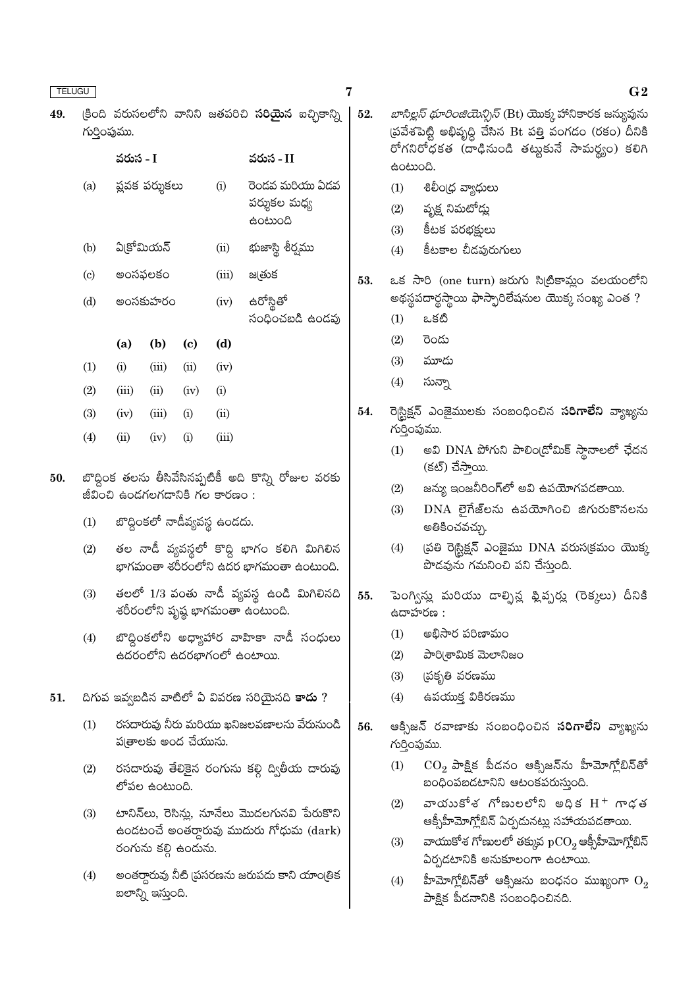$(3)$ 

 $(4)$ 

 $(iv)$ 

 $(ii)$ 

49.

| గుర్తింపుము.                |           |                |      |          | (కింది వరుసలలోని వానిని జతపరిచి <mark>సరియైన</mark> ఐచ్చికాన్ని |  |  |  |  |
|-----------------------------|-----------|----------------|------|----------|-----------------------------------------------------------------|--|--|--|--|
|                             | వరుస - I  |                |      |          | వరుస - II                                                       |  |  |  |  |
| (a)                         |           | ఫ్లవక పర్శుకలు |      | (i)      | రెండవ మరియు ఏడవ<br>పర్శుకల మధ్య                                 |  |  |  |  |
| (b)                         | ఏ(కోమియన్ |                |      | (ii)     | భుజాస్లి శీర్వము                                                |  |  |  |  |
| $\left( \mathrm{c} \right)$ | అంసఫలకం   |                |      | (iii)    | జ@తుక                                                           |  |  |  |  |
| (d)                         |           | అంసకుహరం       |      | (iv)     | ఉరోస్గితో<br>సంధించబడి ఉండవు                                    |  |  |  |  |
|                             | (a)       | (b)            | (c)  | (d)      |                                                                 |  |  |  |  |
| (1)                         | (i)       | (iii)          | (ii) | (iv)     |                                                                 |  |  |  |  |
| (2)                         | (iii)     | (i)            | (iv) | $\rm(i)$ |                                                                 |  |  |  |  |
|                             |           |                |      |          |                                                                 |  |  |  |  |

బొద్దింక తలను తీసివేసినప్పటికీ అది కొన్ని రోజుల వరకు 50. జీవించి ఉండగలగడానికి గల కారణం:

 $(i)$ 

 $(i)$ 

 $(ii)$ 

 $(iii)$ 

బొద్దింకలో నాడీవ్యవస్థ ఉండదు.  $(1)$ 

 $(iii)$ 

 $(iv)$ 

- తల నాడీ వ్యవస్థలో కొద్ది భాగం కలిగి మిగిలిన  $(2)$ భాగమంతా శరీరంలోని ఉదర భాగమంతా ఉంటుంది.
- తలలో 1/3 వంతు నాడీ వ్యవస్థ ఉండి మిగిలినది  $(3)$ శరీరంలోని పృష్ణ భాగమంతా ఉంటుంది.
- బొద్దింకలోని అధ్యాహార వాహికా నాడీ సంధులు  $(4)$ ఉదరంలోని ఉదరభాగంలో ఉంటాయి.
- దిగువ ఇవ్వబడిన వాటిలో ఏ వివరణ సరియైనది కాదు ? 51.
	- రసదారువు నీరు మరియు ఖనిజలవణాలను వేరునుండి  $(1)$ ప్రతాలకు అంద చేయును.
	- రసదారువు తేలికైన రంగును కల్లి ద్వితీయ దారువు  $(2)$ లోపల ఉంటుంది.
	- టానిన్అు, రెసిన్లు, నూనేలు మొదలగునవి పేరుకొని  $(3)$ ఉండటంచే అంతర్గారువు ముదురు గోధుమ $(dark)$ రంగును కల్గి ఉందును.
	- అంతర్గారువు నీటి (పసరణను జరుపదు కాని యాంట్రిక  $(4)$ బలాన్ని ఇస్తుంది.
- *బాసిల్లస్ థూరింజియెన్సిస్* (Bt) యొక్క హానికారక జన్యువును స్రవేశపెట్టి అభివృద్ధి చేసిన Bt పత్తి వంగడం (రకం) దీనికి రోగనిరోధకత (దాఢినుండి తట్టుకునే సామర్థ్యం) కలిగి ఉంటుంది.
	- $(1)$ శిలీం(ధ వ్యాధులు
	- వృక్ష నిమటోడ్<mark>ల</mark>ు  $(2)$
	- కీటక పరభక్షులు  $(3)$
	- $(4)$ కీటకాల చీడపురుగులు

53. ఒక సారి (one turn) జరుగు సిట్రికామ్లం వలయంలోని అథస్థపదార్థస్థాయి ఫాస్ఫారిలేషనుల యొక్క సంఖ్య ఎంత ?

- ఒకటి  $(1)$
- $(2)$ రెండు
- $(3)$ మూదు
- సున్నా  $(4)$
- రెగ్ట్రిక్షన్ ఎంజైములకు సంబంధించిన **సరిగాలేని** వ్యాఖ్యను 54. గుర్తింపుము.
	- అవి DNA పోగుని పాలిండ్రోమిక్ స్థానాలలో ఛేదన  $(1)$ (కట్) చేస్తాయి.
	- జన్యు ఇంజనీరింగ్లలో అవి ఉపయోగపడతాయి.  $(2)$
	- $DNA$  లైగేజ్లను ఉపయోగించి జిగురుకొనలను  $(3)$ అతికించవచ్చు.
	- డ్రతి రె<sub>స్</sub>నిక్షన్ ఎంజైము DNA వరుస(క్రమం యొక్క  $(4)$ పొడవును గమనించి పని చేసుంది.
- 55. పెంగ్విన్లు మరియు డాల్ఫిన్ల ఫ్లిప్పర్లు (రెక్కలు) దీనికి ఉదాహరణ :
	- అభిసార పరిణామం  $(1)$
	- పారి(శామిక మెలానిజం  $(2)$
	- త్రకృతి వరణమ<mark>ు</mark>  $(3)$
	- ఉపయుక్త వికిరణము  $(4)$
- ఆక్సిజన్ రవాణాకు సంబంధించిన **సరిగాలేని** వ్యాఖ్యను 56. గుర్తింపుము.
	- $\mathrm{CO}_2$  పాక్షిక పీడనం ఆక్సిజన్ను హీమోగ్లోబిన్తో  $(1)$ బంధింపబడటానిని ఆటంకపరుస్తుంది.
	- వాయుకోశ గోణులలోని అధిక $H^+$  గాఢత  $(2)$ ఆక్సీహీమోగ్లోబిన్ ఏర్పదునట్లు సహాయపడతాయి.
	- వాయుకోశ గోణులలో తక్కువ $\rm\,pCO_{2}$ ఆక్సీహీమోగ్లోబిన్  $(3)$ ఏర్పడటానికి అనుకూలంగా ఉంటాయి.
	- హీమోగ్లోబిన్తో ఆక్సిజను బంధనం ముఖ్యంగా  $\mathrm{O}_2$  $(4)$ పాక్షిక పీడనానికి సంబంధించినది.

 $G<sub>2</sub>$ 

7

52.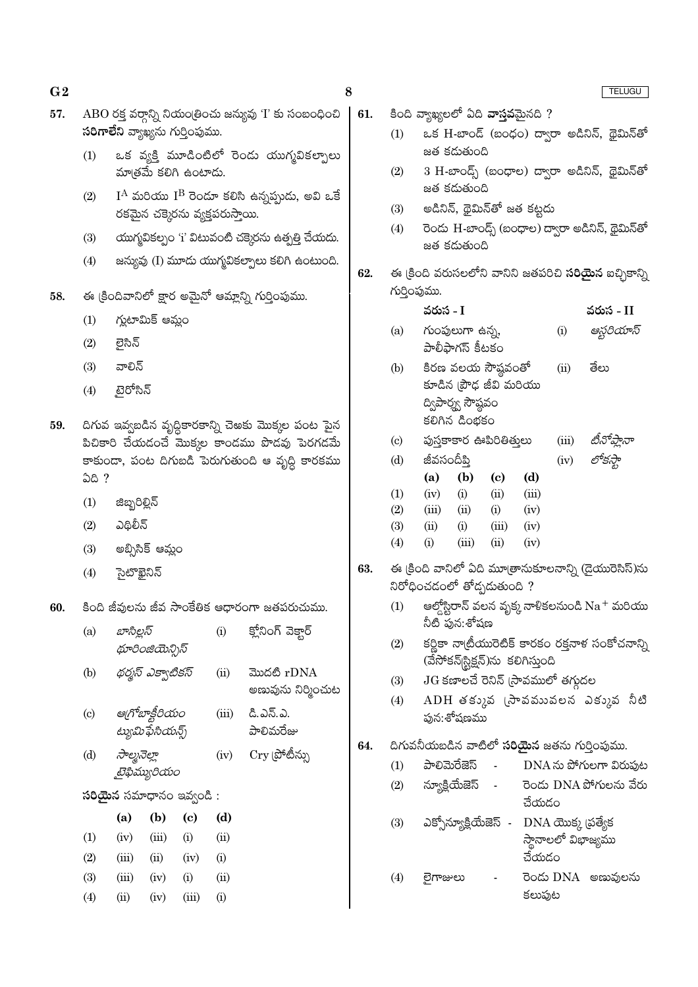| G <sub>2</sub> |                            |               |                                               |                             |                                 |                                                                                                     | 8   |                            |                                    |                                                     |                             |               |       | TELUGU                                                       |  |
|----------------|----------------------------|---------------|-----------------------------------------------|-----------------------------|---------------------------------|-----------------------------------------------------------------------------------------------------|-----|----------------------------|------------------------------------|-----------------------------------------------------|-----------------------------|---------------|-------|--------------------------------------------------------------|--|
| 57.            |                            |               | <mark>సరిగాలేని</mark> వ్యాఖ్యను గుర్తింపుము. |                             |                                 | $\rm{ABO}$ రక్త వర్గాన్ని నియం(తించు జన్యువు 'I' కు సంబంధించి                                       | 61. | (1)                        | కింది వ్యాఖ్యలలో ఏది వాస్తవమైనది ? |                                                     |                             |               |       | ఒక H-బాండ్ (బంధం) ద్వారా అడినిన్, థైమిన్ <b>తో</b>           |  |
|                | (1)                        |               | మాత్రమే కలిగి ఉంటాదు.                         |                             |                                 | ఒక వ్యక్తి మూడింటిలో రెండు యుగ్మవికల్పాలు                                                           |     | (2)                        |                                    | జత కడుతుంది                                         |                             |               |       | 3 H-బాంద్స్ (బంధాల) ద్వారా అడినిన్, థైమిన్తో                 |  |
|                | (2)                        |               |                                               |                             |                                 | $\rm I^A$ మరియు $\rm I^B$ రెండూ కలిసి ఉన్నప్పుడు, అవి ఒకే                                           |     |                            |                                    | జత కడుతుంది                                         |                             |               |       |                                                              |  |
|                |                            |               |                                               |                             | రకమైన చక్కెరను వ్యక్తపరుస్తాయి. |                                                                                                     |     | (3)                        |                                    | అడినిన్, థైమిన్తో జత కట్టదు                         |                             |               |       |                                                              |  |
|                | (3)                        |               |                                               |                             |                                 | యుగ్మవికల్పం 'i' విటువంటి చక్కెరను ఉత్పత్తి చేయదు.                                                  |     | (4)                        |                                    | జత కడుతుంది                                         |                             |               |       | రెండు H-బాండ్స్ (బంధాల) ద్వారా అడినిన్, థైమిన్ <b>తో</b>     |  |
|                | (4)                        |               |                                               |                             |                                 | జన్యువు (I) మూడు యుగ్మవికల్పాలు కలిగి ఉంటుంది.                                                      |     |                            |                                    |                                                     |                             |               |       |                                                              |  |
| 58.            |                            |               |                                               |                             |                                 | ఈ క్రిందివానిలో క్షార అమైనో ఆమ్లాన్ని గుర్తింపుము.                                                  | 62. |                            | గుర్తింపుము.                       |                                                     |                             |               |       | ఈ క్రింది వరుసలలోని వానిని జతపరిచి <b>సరియైన</b> ఐచ్చికాన్ని |  |
|                | (1)                        |               | గ్లుటామిక్ ఆమ్లం                              |                             |                                 |                                                                                                     |     |                            | వరుస - I                           |                                                     |                             |               |       | వరుస - II                                                    |  |
|                | (2)                        | లైసిన్        |                                               |                             |                                 |                                                                                                     |     | (a)                        |                                    | గుంపులుగా ఉన్న,<br>పాలీఫాగస్ కీటకం                  |                             |               | (i)   | ఆస్టరియాస్                                                   |  |
|                | (3)                        | వాలిన్        |                                               |                             |                                 |                                                                                                     |     | (b)                        |                                    | కిరణ వలయ సౌష్ఠవంతో                                  |                             |               | (ii)  | తేలు                                                         |  |
|                | (4)                        | టైరోసిన్      |                                               |                             |                                 |                                                                                                     |     |                            |                                    | కూడిన (పౌఢ జీవి మరియు                               |                             |               |       |                                                              |  |
|                |                            |               |                                               |                             |                                 |                                                                                                     |     |                            |                                    | ద్విపార్మ్స సౌష్ఠవం<br>కలిగిన డింభకం                |                             |               |       |                                                              |  |
| 59.            |                            |               |                                               |                             |                                 | దిగువ ఇవ్వబడిన వృద్ధికారకాన్ని చెఅకు మొక్కల పంట పైన<br>పిచికారి చేయడంచే మొక్కల కాండము పొడవు పెరగడమే |     | $\left( \mathrm{c}\right)$ |                                    | పుస్తకాకార ఊపిరితితులు                              |                             |               | (iii) | టీనోప్లానా                                                   |  |
|                |                            |               |                                               |                             |                                 | కాకుండా, పంట దిగుబడి పెరుగుతుంది ఆ వృద్ధి కారకము                                                    |     | (d)                        | జీవసందీప్తి                        |                                                     |                             |               | (iv)  | లోకస్తా                                                      |  |
|                | ఏది ?                      |               |                                               |                             |                                 |                                                                                                     |     |                            | (a)                                | (b)                                                 | $\left( \mathbf{c} \right)$ | (d)           |       |                                                              |  |
|                | (1)                        | జిబ్బరిల్లిన్ |                                               |                             |                                 |                                                                                                     |     | (1)<br>(2)                 | (iv)<br>(iii)                      | (i)<br>(ii)                                         | (ii)<br>(i)                 | (iii)<br>(iv) |       |                                                              |  |
|                | (2)                        | ఎథిలీన్       |                                               |                             |                                 |                                                                                                     |     | (3)                        | (ii)                               | (i)                                                 | (iii)                       | (iv)          |       |                                                              |  |
|                | (3)                        |               | అబ్సిసిక్ ఆమ్లం                               |                             |                                 |                                                                                                     |     | (4)                        | (i)                                | (iii)                                               | (ii)                        | (iv)          |       |                                                              |  |
|                | (4)                        | సైటొఖైనిన్    |                                               |                             |                                 |                                                                                                     | 63. |                            | నిరోధించడంలో తోడ్పడుతుంది ?        |                                                     |                             |               |       | ఈ క్రింది వానిలో ఏది మూత్రానుకూలనాన్ని (డైయురెసిస్)ను        |  |
| 60.            |                            |               |                                               |                             |                                 | కింది జీవులను జీవ సాంకేతిక ఆధారంగా జతపరుచుము.                                                       |     | (1)                        |                                    |                                                     |                             |               |       | ఆల్డ్వోర్టాన్ వలన వృక్క నాళికలనుండి $\mathrm{Na}^+$ మరియు    |  |
|                | (a)                        | బాసిల్లస్     |                                               |                             | (i)                             | క్లోనింగ్ వెక్టార్                                                                                  |     |                            |                                    | నీటి పున:శోషణ                                       |                             |               |       |                                                              |  |
|                |                            |               | థూరింజియెన్సిస్                               |                             |                                 |                                                                                                     |     | (2)                        |                                    | (వేసోకన్[స్టిక్షన్)ను కలిగిస్తుంది                  |                             |               |       | కర్ణికా నా(టీయురెటిక్ కారకం రక్తనాళ సంకోచనాన్ని              |  |
|                | (b)                        |               | థర్మస్ ఎక్వాటికస్                             |                             | (ii)                            | మొదటి rDNA                                                                                          |     | (3)                        |                                    | $JG$ కణాలచే రెనిన్ (సావములో తగ్గుదల                 |                             |               |       |                                                              |  |
|                |                            |               |                                               |                             |                                 | అణువును నిర్మించుట                                                                                  |     | (4)                        |                                    |                                                     |                             |               |       | ADH తక్కువ (సావమువలన ఎక్కువ నీటి                             |  |
|                | $\left( \mathrm{c}\right)$ |               | ఆగోబాక్టీరియం<br>ట్యుమిఫేసియన్స్              |                             | (iii)                           | డి.ఎన్.ఎ.<br>పాలిమరేజు                                                                              |     |                            |                                    | పున:శోషణము                                          |                             |               |       |                                                              |  |
|                | (d)                        | సాల్మనెల్లా   |                                               |                             | (iv)                            | $\mathrm{Cry}$ (పోటీన్ను                                                                            | 64. |                            |                                    |                                                     |                             |               |       | దిగువనీయబడిన వాటిలో <b>సరియైన</b> జతను గుర్తింపుము.          |  |
|                |                            |               | టైఫిమ్యురియం                                  |                             |                                 |                                                                                                     |     | (1)                        |                                    | పాలిమెరేజెస్                                        | $\sim$                      |               |       | DNA ను పోగులగా విరుపుట                                       |  |
|                |                            |               | <b>సరియైన</b> సమాధానం ఇవ్వండి :               |                             |                                 |                                                                                                     |     | (2)                        |                                    |                                                     |                             | చేయడం         |       | న్యూక్లియేజెస్ - రెండు DNA పోగులను వేరు                      |  |
|                |                            | (a)           | (b)                                           | $\left( \mathbf{c} \right)$ | (d)                             |                                                                                                     |     | (3)                        |                                    | ఎక్సోన్యూక్లియేజెస్ - DNA యొక్క <sub>(</sub> పత్యేక |                             |               |       |                                                              |  |
|                | (1)                        | (iv)          | (iii)                                         | (i)                         | (ii)                            |                                                                                                     |     |                            |                                    |                                                     |                             |               |       | స్థానాలలో విభాజ్యము                                          |  |
|                | (2)                        | (iii)         | (ii)                                          | (iv)                        | (i)                             |                                                                                                     |     |                            |                                    |                                                     |                             | చేయడం         |       |                                                              |  |
|                | (3)                        | (iii)         | (iv)                                          | (i)                         | (ii)                            |                                                                                                     |     | (4)                        | లైగాజులు                           |                                                     |                             |               |       | రెండు DNA అణువులను                                           |  |
|                | (4)                        | (ii)          | (iv)                                          | (iii)                       | (i)                             |                                                                                                     |     |                            |                                    |                                                     |                             | కలుపుట        |       |                                                              |  |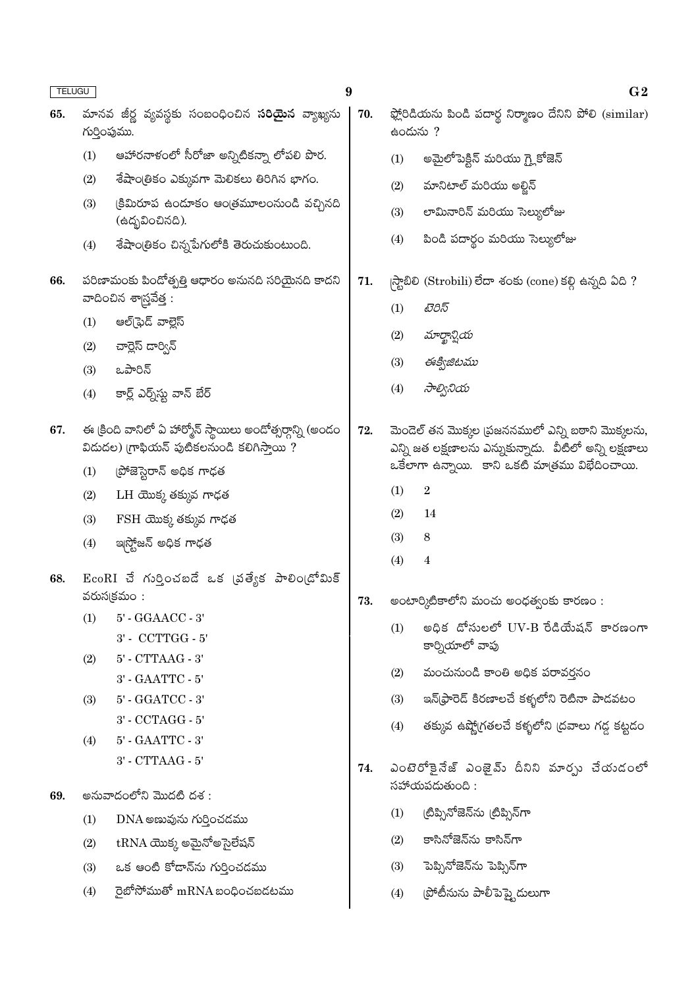| <b>TELUGU</b> |     | 9                                                                                                         |     |            | G <sub>2</sub>                                                                                                |
|---------------|-----|-----------------------------------------------------------------------------------------------------------|-----|------------|---------------------------------------------------------------------------------------------------------------|
| 65.           |     | మానవ జీర్ణ వ్యవస్థకు సంబంధించిన <b>సరియైన</b> వ్యాఖ్యను<br>గుర్తింపుము.                                   | 70. | ఉందును ?   | ఫ్లోరిడియను పిండి పదార్థ నిర్మాణం దేనిని పోలి ( $\operatorname{similar}$ )                                    |
|               | (1) | ఆహారనాళంలో సీరోజా అన్నిటికన్నా లోపలి పొర.                                                                 |     | (1)        | అమైలోపెక్టిన్ మరియు గ్లైకోజెన్                                                                                |
|               | (2) | శేషాంత్రికం ఎక్కువగా మెలికలు తిరిగిన భాగం.                                                                |     | (2)        | మానిటాల్ మరియు అల్టిన్                                                                                        |
|               | (3) | క్రిమిరూప ఉందూకం ఆంత్రమూలంనుండి వచ్చినది<br>(ఉద్భవించినది).                                               |     | (3)        | లామినారిన్ మరియు సెల్యులోజు                                                                                   |
|               | (4) | శేషాంత్రికం చిన్నపేగులోకి తెరుచుకుంటుంది.                                                                 |     | (4)        | పిండి పదార్థం మరియు సెల్యులోజు                                                                                |
| 66.           |     | పరిణామంకు పిందోత్పత్తి ఆధారం అనునది సరియైనది కాదని<br>వాదించిన శాస్త్రవేత్త :                             | 71. | (1)        | స్టాబిలి (Strobili) లేదా శంకు (cone) కల్గి ఉన్నది ఏది ?<br>టెరిస్                                             |
|               | (1) | ఆల్[ఫెడ్ వాల్లెస్                                                                                         |     |            |                                                                                                               |
|               | (2) | చార్లెస్ దార్విన్                                                                                         |     | (2)        | మార్ఖాన్షియ                                                                                                   |
|               | (3) | ఒపారిన్                                                                                                   |     | (3)        | ఈక్విజిటము                                                                                                    |
|               | (4) | కార్ల్ ఎర్న్స్ట్ వాన్ బేర్                                                                                |     | (4)        | సాల్వినియ                                                                                                     |
| 67.           |     | ఈ క్రింది వానిలో ఏ హార్మోన్ స్థాయిలు అందోత్సర్గాన్ని (అందం<br>విడుదల) గ్రాఫియన్ పుటికలనుండి కలిగిస్తాయి ? | 72. |            | మెండెల్ తన మొక్కల (పజననములో ఎన్ని బఠాని మొక్కలను,<br>ఎన్ని జత లక్షణాలను ఎన్నుకున్నాడు.  వీటిలో అన్ని లక్షణాలు |
|               | (1) | (పోజెస్టెరాన్ అధిక గాఢత                                                                                   |     |            | ఒకేలాగా ఉన్నాయి. కాని ఒకటి మాత్రము విభేదించాయి.                                                               |
|               | (2) | LH యొక్క తక్కువ గాఢత                                                                                      |     | (1)        | $\sqrt{2}$                                                                                                    |
|               | (3) | FSH యొక్క తక్కువ గాఢత                                                                                     |     | (2)        | 14                                                                                                            |
|               | (4) | ఇస్ట్రోజన్ అధిక గాఢత                                                                                      |     | (3)<br>(4) | 8<br>$\overline{\mathbf{4}}$                                                                                  |
| 68.           |     | $\operatorname{EcoRI}$ చే గుర్తించబడే ఒక (వత్యేక పాలిం(డోమిక్<br>వరుసక్రమం:                               | 73. |            | అంటార్కిటికాలోని మంచు అంధత్వంకు కారణం:                                                                        |
|               | (1) | $5'$ - $\operatorname{GGAACC}$ - $3'$<br>3' - CCTTGG - 5'                                                 |     | (1)        | అధిక దోసులలో $UV-B$ రేడియేషన్ కారణంగా<br>కార్నియాలో వాపు                                                      |
|               | (2) | $5'$ - $\operatorname{CTTAAG}$ - $3'$<br>$3'$ - $\text{GAATTC}$ - $5'$                                    |     | (2)        | మంచునుండి కాంతి అధిక పరావర్తనం                                                                                |
|               | (3) | $5'$ - $\operatorname{GGATCC}$ - $3'$                                                                     |     | (3)        | ఇన్(ఫ్రారెడ్ కిరణాలచే కళ్ళలోని రెటినా పాడవటం                                                                  |
|               |     | $3'$ - $\rm CCTAGG$ - $5'$                                                                                |     |            |                                                                                                               |
|               | (4) | $5^\circ$ - GAATTC - $3^\circ$                                                                            |     | (4)        | తక్కువ ఉష్మోగతలచే కళ్ళలోని (దవాలు గడ్డ కట్టడం                                                                 |
|               |     | $3'$ - $CTTAAG$ - $5'$                                                                                    | 74. |            | ఎంటెరోకైనేజ్ ఎంజైమ్ దీనిని మార్సు చేయడంలో                                                                     |
| 69.           |     | అనువాదంలోని మొదటి దశ :                                                                                    |     |            | సహాయపడుతుంది :                                                                                                |
|               | (1) | $DNA$ అణువును గుర్తించడము                                                                                 |     | (1)        | (టిప్సినోజెన్ను (టిప్సిన్గా                                                                                   |
|               | (2) | $\text{tRNA}$ యొక్క అమైనోఅసైలేషన్                                                                         |     | (2)        | కాసినోజెన్ను కాసిన్గా                                                                                         |
|               | (3) | ఒక ఆంటి కోడాన్ను గుర్తించడము                                                                              |     | (3)        | పెప్పినోజెన్ను పెప్పిన్గా                                                                                     |
|               | (4) | ైబోసోముతో $\rm\,mRNA$ బంధించబడటము                                                                         |     | (4)        | (పోటీనును పాలీపెప్త్టెడులుగా                                                                                  |
|               |     |                                                                                                           |     |            |                                                                                                               |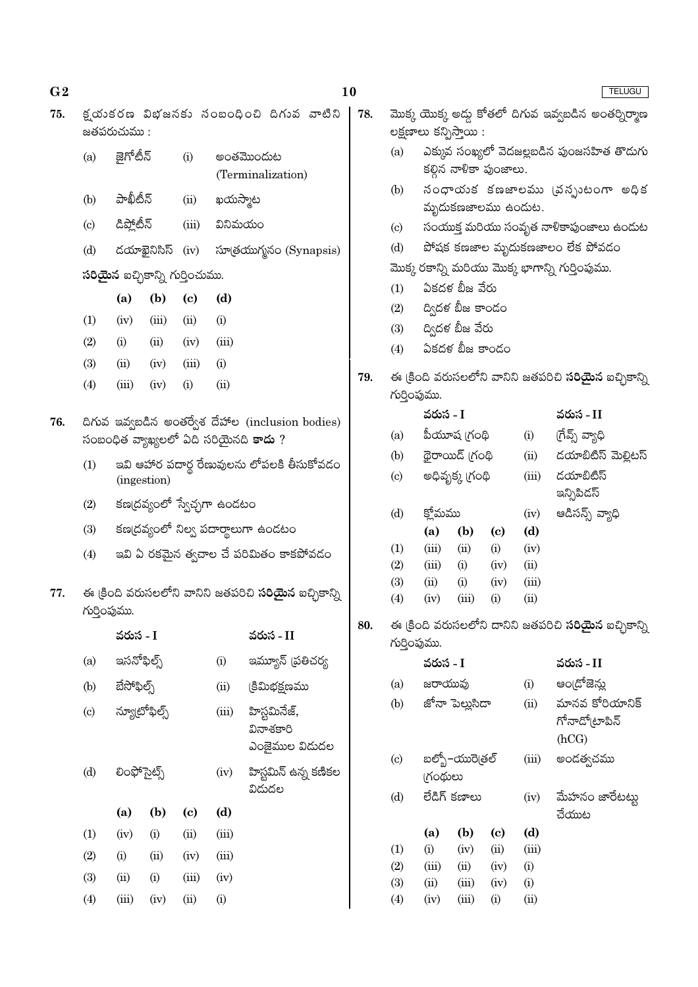| 75. |              | జతపరుచుము :  |                                        |                             |         | క్షయుకరణ విభజనకు నంబంధించి దిగువ వాటిని                      |  | 78. |                            |                                                      | లక్షణాలు కన్పిస్తాయి:                   |                            |               | మొక్క యొక్క అద్దు కోతలో దిగువ ఇవ్వబడిన అంతర్నిర్మాణ          |
|-----|--------------|--------------|----------------------------------------|-----------------------------|---------|--------------------------------------------------------------|--|-----|----------------------------|------------------------------------------------------|-----------------------------------------|----------------------------|---------------|--------------------------------------------------------------|
|     | (a)          | జైగోటీన్     |                                        | (i)                         |         | అంతమొందుట<br>(Terminalization)                               |  |     | (a)                        |                                                      | కల్లిన నాళికా పుంజాలు.                  |                            |               | ఎక్కువ సంఖ్యలో వెదజల్లబడిన పుంజసహిత తొడుగు                   |
|     | (b)          | పాఖీటీన్     |                                        | (ii)                        |         | ఖయస్మాట                                                      |  |     | (b)                        | నంధాయక కణజాలము (వన్పుటంగా అధిక<br>మృదుకణజాలము ఉందుట. |                                         |                            |               |                                                              |
|     | (c)          | డిప్లోటీన్   |                                        | (iii)                       | వినిమయం |                                                              |  |     | $\left( \mathrm{c}\right)$ |                                                      | సంయుక్త మరియు సంవృత నాళికాపుంజాలు ఉందుట |                            |               |                                                              |
|     | (d)          |              | డయాఖైనిసిస్                            | (iv)                        |         | సూత్రయుగ్మనం (Synapsis)                                      |  |     | (d)                        |                                                      | పోషక కణజాల మృదుకణజాలం లేక పోవడం         |                            |               |                                                              |
|     |              |              |                                        |                             |         |                                                              |  |     |                            |                                                      |                                         |                            |               | మొక్క రకాన్ని మరియు మొక్క భాగాన్ని గుర్తింపుము.              |
|     |              |              | <b>సరియైన</b> ఐచ్ఛికాన్ని గుర్తించుము. |                             |         |                                                              |  |     | ఏకదళ బీజ వేరు<br>(1)       |                                                      |                                         |                            |               |                                                              |
|     |              | (a)          | (b)                                    | $\left( \mathbf{c} \right)$ | (d)     |                                                              |  |     | (2)                        |                                                      | ద్విదళ బీజ కాండం                        |                            |               |                                                              |
|     | (1)          | (iv)         | (iii)                                  | (ii)                        | (i)     |                                                              |  |     | (3)                        |                                                      | ద్విదళ బీజ వేరు                         |                            |               |                                                              |
|     | (2)          | (i)          | (ii)                                   | (iv)                        | (iii)   |                                                              |  |     | (4)                        |                                                      | ఏకదళ బీజ కాండం                          |                            |               |                                                              |
|     | (3)          | (ii)         | (iv)                                   | (iii)                       | (i)     |                                                              |  | 79. |                            |                                                      |                                         |                            |               | ఈ క్రింది వరుసలలోని వానిని జతపరిచి <b>సరియైన</b> ఐచ్చికాన్ని |
|     | (4)          | (iii)        | (iv)                                   | (i)                         | (ii)    |                                                              |  |     | గుర్తింపుము.               |                                                      |                                         |                            |               |                                                              |
| 76. |              |              |                                        |                             |         | దిగువ ఇవ్వబడిన అంతర్వేశ దేహాల (inclusion bodies)             |  |     |                            | వరుస - I                                             |                                         |                            |               | వరుస - II                                                    |
|     |              |              |                                        |                             |         | సంబంధిత వ్యాఖ్యలలో ఏది సరియైనది <b>కాదు</b> ?                |  |     | (a)                        |                                                      | పీయూష (గంథి                             |                            | (i)           | (గేవ్స్ వ్యాధి                                               |
|     | (1)          |              |                                        |                             |         |                                                              |  |     | (b)                        |                                                      | థైరాయిడ్ గ్రంథి                         |                            | (ii)          | డయాబిటిస్ మెల్లిటస్                                          |
|     |              | (ingestion)  |                                        |                             |         | ఇవి ఆహార పదార్థ రేణువులను లోపలకి తీసుకోవడం                   |  |     | $\left( \mathrm{c}\right)$ |                                                      | అధివృక్క (గంథి                          |                            | (iii)         | డయాబిటిస్                                                    |
|     | (2)          |              |                                        |                             |         | కణ(దవ్యంలో స్వేచ్చగా ఉండటం                                   |  |     | (d)                        | క్లోమము                                              |                                         |                            | (iv)          | ఇన్సిపిడస్<br>ఆడిసన్స్ వ్యాధి                                |
|     | (3)          |              |                                        |                             |         | కణ(దవ్యంలో నిల్వ పదార్థాలుగా ఉండటం                           |  |     |                            | (a)                                                  | (b)                                     | $\left( \mathrm{c}\right)$ | (d)           |                                                              |
|     | (4)          |              |                                        |                             |         | ఇవి ఏ రకమైన త్వచాల చే పరిమితం కాకపోవడం                       |  |     | (1)                        | (iii)                                                | (ii)                                    | (i)                        | (iv)          |                                                              |
|     |              |              |                                        |                             |         |                                                              |  |     | (2)                        | (iii)                                                | (i)                                     | (iv)                       | (ii)          |                                                              |
| 77. | గుర్తింపుము. |              |                                        |                             |         | ఈ క్రింది వరుసలలోని వానిని జతపరిచి <b>సరియైన</b> ఐచ్చికాన్ని |  |     | (3)<br>(4)                 | (ii)<br>(iv)                                         | (i)<br>(iii)                            | (iv)<br>(i)                | (iii)<br>(ii) |                                                              |
|     |              | వరుస - I     |                                        |                             |         | వరుస - II                                                    |  | 80. | గుర్తింపుము.               |                                                      |                                         |                            |               | ఈ క్రింది వరుసలలోని దానిని జతపరిచి <b>సరియైన</b> ఐచ్ఛికాన్ని |
|     | (a)          | ఇసనోఫిల్స్   |                                        |                             | (i)     | ఇమ్యూన్ (పతిచర్య                                             |  |     |                            | వరుస - I                                             |                                         |                            |               | వరుస - II                                                    |
|     | (b)          | బేసోఫిల్స్   |                                        |                             | (ii)    | క్రిమిభక్షణము                                                |  |     | (a)                        | జరాయువు                                              |                                         |                            | (i)           | అం[దోజెన్లు                                                  |
|     | (c)          | న్యూటోఫిల్స్ |                                        |                             | (iii)   | హిస్టమినేజ్,<br>వినాశకారి<br>ఎంజైముల విడుదల                  |  |     | (b)                        |                                                      | జోనా పెల్లుసిదా                         |                            | (ii)          | మానవ కోరియానిక్<br>గోనాడో(టాపిన్<br>(hCG)                    |
|     | (d)          | లింఫోసైట్స్  |                                        |                             | (iv)    | హిస్టమిన్ ఉన్న కణికల                                         |  |     | (c)                        | <b>గ్రంథులు</b>                                      | బల్బో–యురె(తల్                          |                            | (iii)         | అండత్వచము                                                    |
|     |              | (a)          | (b)                                    | $\left( \mathbf{c} \right)$ | (d)     | విడుదల                                                       |  |     | (d)                        |                                                      | లేడిగ్ కణాలు                            |                            | (iv)          | మేహనం జారేటట్టు<br>చేయుట                                     |
|     | (1)          | (iv)         | (i)                                    | (ii)                        | (iii)   |                                                              |  |     |                            | (a)                                                  | (b)                                     | (c)                        | (d)           |                                                              |
|     | (2)          | (i)          | (ii)                                   | (iv)                        | (iii)   |                                                              |  |     | (1)                        | (i)                                                  | (iv)                                    | (ii)                       | (iii)         |                                                              |
|     | (3)          | (ii)         | (i)                                    | (iii)                       | (iv)    |                                                              |  |     | (2)<br>(3)                 | (iii)<br>(ii)                                        | (ii)<br>(iii)                           | (iv)<br>(iv)               | (i)<br>(i)    |                                                              |
|     | (4)          | (iii)        | (iv)                                   | (ii)                        | (i)     |                                                              |  |     | (4)                        | (iv)                                                 | (iii)                                   | (i)                        | (ii)          |                                                              |

 $G<sub>2</sub>$ 

 $10$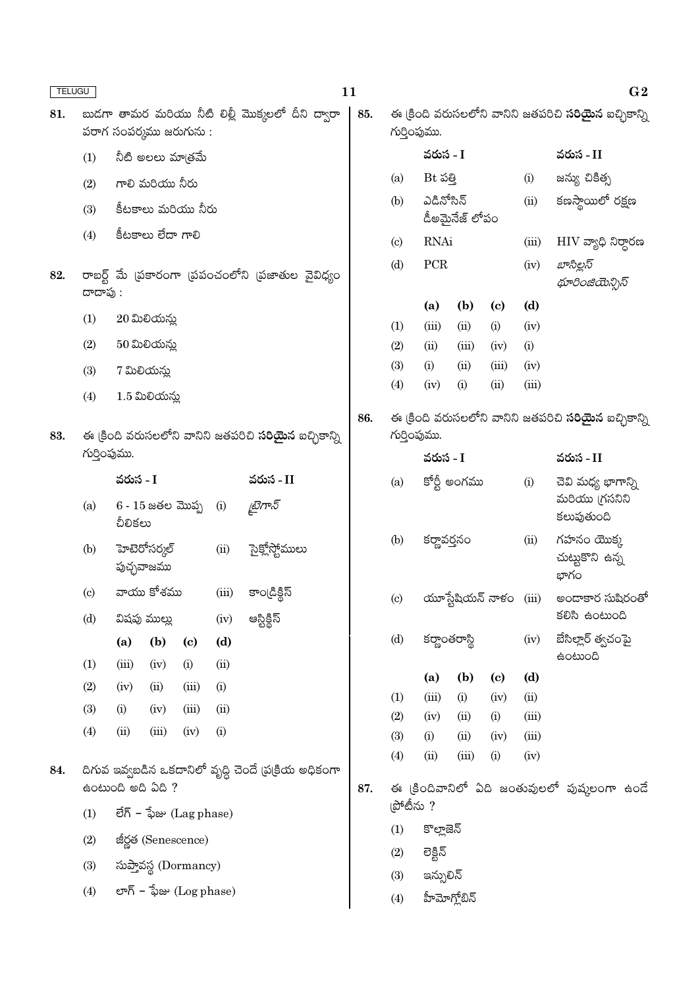| <b>TELUGU</b> |                            |                                                 |                                 |                             |       |                                                              | 11  |                            |                             |                        |                             |                         | G <sub>2</sub>                                               |
|---------------|----------------------------|-------------------------------------------------|---------------------------------|-----------------------------|-------|--------------------------------------------------------------|-----|----------------------------|-----------------------------|------------------------|-----------------------------|-------------------------|--------------------------------------------------------------|
| 81.           |                            |                                                 | పరాగ సంపర్మము జరుగును :         |                             |       | బుడగా తామర మరియు నీటి లిల్లీ మొక్కలలో దీని ద్వారా            | 85. |                            | గుర్తింపుము.                |                        |                             |                         | ఈ క్రింది వరుసలలోని వానిని జతపరిచి <b>సరియైన</b> ఐచ్చికాన్ని |
|               | (1)                        |                                                 | నీటి అలలు మాత్రమే               |                             |       |                                                              |     |                            | వరుస - I                    |                        |                             |                         | వరుస - II                                                    |
|               | (2)                        |                                                 | గాలి మరియు నీరు                 |                             |       |                                                              |     | (a)                        | $Bt$ పత్తి                  |                        |                             | (i)                     | జన్యు చికిత్స                                                |
|               | (3)                        |                                                 | కీటకాలు మరియు నీరు              |                             |       |                                                              |     | (b)                        | ఎడినోసిన్<br>డీఅమైనేజ్ లోపం |                        |                             | (ii)                    | కణస్తాయిలో రక్షణ                                             |
|               | (4)                        |                                                 | కీటకాలు లేదా గాలి               |                             |       |                                                              |     | $\left( \mathrm{c}\right)$ | <b>RNAi</b>                 |                        |                             | (iii)                   | $\rm{HIV}$ వ్యాధి నిర్దారణ                                   |
| 82.           | దాదాపు :                   | రాబర్ట్ మే (పకారంగా (పపంచంలోని (పజాతుల వైవిధ్యం |                                 |                             |       |                                                              |     | (d)                        | PCR                         |                        |                             | (iv)                    | బాసిల్లస్<br>థూరింజియెన్సిస్                                 |
|               |                            |                                                 | $20$ మిలియన్న                   |                             |       |                                                              |     |                            | (a)                         | (b)                    | $\left( \mathbf{c} \right)$ | (d)                     |                                                              |
|               | (1)                        |                                                 |                                 |                             |       |                                                              |     | (1)                        | (iii)                       | (ii)                   | (i)                         | (iv)                    |                                                              |
|               | (2)                        |                                                 | $50$ మిలియన్లు                  |                             |       |                                                              |     | (2)                        | (ii)                        | (iii)                  | (iv)                        | (i)                     |                                                              |
|               | (3)                        |                                                 | 7 మిలియన్లు                     |                             |       |                                                              |     | (3)<br>(4)                 | (i)<br>(iv)                 | (ii)<br>(i)            | (iii)<br>(ii)               | (iv)<br>(iii)           |                                                              |
|               | (4)                        |                                                 | $1.5$ మిలియన్లు                 |                             |       |                                                              |     |                            |                             |                        |                             |                         |                                                              |
|               |                            |                                                 |                                 |                             |       |                                                              | 86. |                            |                             |                        |                             |                         | ఈ క్రింది వరుసలలోని వానిని జతపరిచి <b>సరియైన</b> ఐచ్చికాన్ని |
| 83.           |                            |                                                 |                                 |                             |       | ఈ క్రింది వరుసలలోని వానిని జతపరిచి <b>సరియైన</b> ఐచ్చికాన్ని |     | గుర్తింపుము.               |                             |                        |                             |                         |                                                              |
|               | గుర్తింపుము.               |                                                 |                                 |                             |       |                                                              |     |                            | వరుస - I                    |                        |                             |                         | వరుస - II                                                    |
|               | (a)                        | వరుస - I                                        | $6 - 15$ జతల మొప్ప              |                             | (i)   | వరుస - II<br>డైగాన్                                          |     | (a)                        |                             | కోర్టీ అంగము           |                             | (i)                     | చెవి మధ్య భాగాన్ని<br>మరియు (గసనిని<br>కలుపుతుంది            |
|               |                            | చీలికలు                                         |                                 |                             |       |                                                              |     |                            |                             |                        |                             | (ii)                    | గహనం యొక్క                                                   |
|               | (b)                        |                                                 | హెటెరోసర్కల్<br>పుచ్ఛవాజము      |                             | (ii)  | సైక్లోస్టోములు                                               |     |                            | (b)<br>కర్ణావర్తనం          |                        |                             | చుట్టుకొని ఉన్న<br>భాగం |                                                              |
|               | $\left( \mathrm{c}\right)$ |                                                 | వాయు కోశము                      |                             | (iii) | కాండ్రిక్టిస్                                                |     | (c)                        |                             | యూస్టేషియన్ నాళం (iii) |                             |                         | అందాకార సుషిరంతో                                             |
|               | (d)                        |                                                 | విషపు ముల్లు                    |                             | (iv)  | ఆస్టిక్లిస్                                                  |     |                            |                             |                        |                             |                         | కలిసి ఉంటుంది                                                |
|               |                            | (a)                                             | (b)                             | $\left( \mathbf{c} \right)$ | (d)   |                                                              |     | (d)                        | కర్ణాంతరాస్థి               |                        |                             | (iv)                    | బేసిల్లార్ త్వచంపై<br><b>doctoco</b>                         |
|               | (1)                        | (iii)                                           | (iv)                            | (i)                         | (ii)  |                                                              |     |                            | (a)                         | (b)                    | $\left( \mathbf{c} \right)$ | (d)                     |                                                              |
|               | (2)                        | (iv)                                            | (ii)                            | (iii)                       | (i)   |                                                              |     | (1)                        | (iii)                       | (i)                    | (iv)                        | (ii)                    |                                                              |
|               | (3)                        | (i)                                             | (iv)                            | (iii)                       | (ii)  |                                                              |     | (2)                        | (iv)                        | (ii)                   | (i)                         | (iii)                   |                                                              |
|               | (4)                        | (ii)                                            | (iii)                           | (iv)                        | (i)   |                                                              |     | (3)                        | (i)                         | (ii)                   | (iv)                        | (iii)                   |                                                              |
| 84.           |                            |                                                 |                                 |                             |       | దిగువ ఇవ్వబడిన ఒకదానిలో వృద్ధి చెందే (ప(కియ అధికంగా          |     | (4)                        | (ii)                        | (iii)                  | (i)                         | (iv)                    |                                                              |
|               |                            |                                                 | ఉంటుంది అది ఏది ?               |                             |       |                                                              | 87. | ్రపోటీను ?                 |                             |                        |                             |                         | ఈ క్రిందివానిలో ఏది జంతువులలో పుష్కలంగా ఉందే                 |
|               | (1)                        |                                                 | $\vec{e}$ గ్ – ఫేజు (Lag phase) |                             |       |                                                              |     | (1)                        | కొల్లాజెన్                  |                        |                             |                         |                                                              |
|               | (2)                        |                                                 | జీర్ణత (Senescence)             |                             |       |                                                              |     | (2)                        | లెక్టిన్                    |                        |                             |                         |                                                              |
|               | (3)                        |                                                 | సుప్తావస్థ (Dormancy)           |                             |       |                                                              |     | (3)                        | ఇన్సులిన్                   |                        |                             |                         |                                                              |
|               | (4)                        |                                                 | లాగ్ – ఫేజు (Log phase)         |                             |       |                                                              |     | (4)                        |                             | హీమోగ్లోబిన్           |                             |                         |                                                              |
|               |                            |                                                 |                                 |                             |       |                                                              |     |                            |                             |                        |                             |                         |                                                              |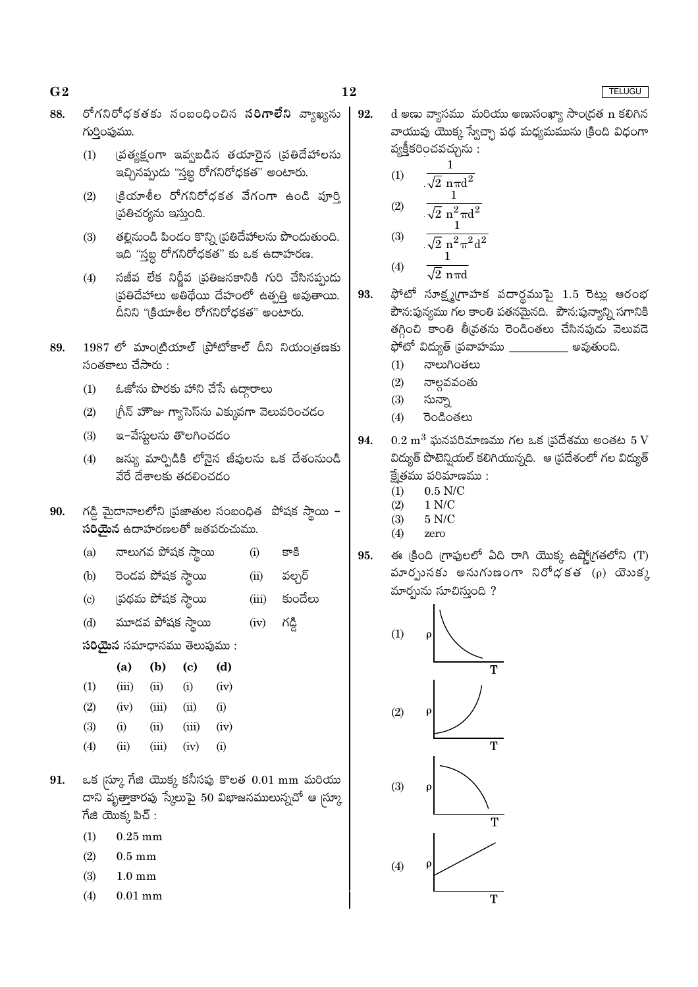- 88. రోగనిరోధకతకు సంబంధించిన **సరిగాలేని** వ్యాఖ్యను గుర్తింపుము.
	- ప్రత్యక్షంగా ఇవ్వబడిన తయారైన (పతిదేహాలను  $(1)$ ఇచ్చినప్పుడు "స్తబ్ద రోగనిరోధకత" అంటారు.
	- క్రియాశీల రోగనిరోధకత వేగంగా ఉండి పూర్తి  $(2)$ (పతిచర్యను ఇస్తుంది.
	- తల్లినుండి పిండం కొన్ని (ప్రతిదేహాలను పొందుతుంది.  $(3)$ ఇది ''స్తబ్ద రోగనిరోధకత" కు ఒక ఉదాహరణ.
	- సజీవ లేక నిర్జీవ (పతిజనకానికి గురి చేసినప్పుడు  $(4)$ స్టతిదేహాలు అతిథేయి దేహంలో ఉత్పత్తి అవుతాయి. దీనిని "క్రియాశీల రోగనిరోధకత" అంటారు.
- 1987 లో మాంట్రియాల్ (పోటోకాల్ దీని నియం(తణకు 89.  $\tilde{\mathcal{A}}$ ంతకాలు చేసారు :
	- ఓజోను పొరకు హాని చేసే ఉద్దారాలు  $(1)$
	- $(2)$ గ్రీన్ హౌజు గ్యాసెస్ను ఎక్కువగా వెలువరించడం
	- ఇ-వేస్తులను తొలగించడం  $(3)$
	- జస్యు మార్పిడికి లోనైన జీవులను ఒక దేశంనుండి  $(4)$ వేరే దేశాలకు తదలించడం
- గడ్డి మైదానాలలోని (పజాతుల సంబంధిత పోషక స్తాయి -90. సరియైన ఉదాహరణలతో జతపరుచుము.
	- నాలుగవ పోషక స్థాయి  $(a)$  $(i)$ కాకి
	- రెండవ పోషక స్థాయి వల్చర్  $(b)$  $(ii)$
	- ప్రథమ పోషక స్థాయి కుందేలు  $(c)$  $(iii)$
	- మూడవ పోషక స్థాయి  $(d)$ గడ్డి  $(iv)$
	- సరియైన సమాధానము తెలుపుము:

|     | (a)   | (b)   | (c)      | (d)              |
|-----|-------|-------|----------|------------------|
| (1) | (iii) | (ii)  | $\rm(i)$ | (iv)             |
| (2) | (iv)  | (iii) | (ii)     | $\rm(i)$         |
| (3) | (i)   | (ii)  | (iii)    | (iv)             |
| (4) | (ii)  | (iii) | (iv)     | $\left(1\right)$ |

- ఒక <sub>(</sub>స్కూ గేజి యొక్క కనీసపు కొలత 0.01 mm మరియు 91. దాని వృత్తాకారపు స్కేలుపై 50 విభాజనములున్నచో ఆ మ్కా  $\vec{a}$  దివిక్క పిచ్ :
	- $(1)$  $0.25$  mm
	- $(2)$  $0.5 \text{ mm}$
	- $(3)$  $1.0 \text{ mm}$
	- $(4)$  $0.01$  mm

d అణు వ్యాసము మరియు అణుసంఖ్యా సాంద్రత n కలిగిన 92. వాయువు యొక్క స్వేచ్ఛా పథ మధ్యమమును క్రింది విధంగా వ్యక్తీకరించవచ్చును :

(1) 
$$
\frac{1}{\sqrt{2} \text{ n} \pi d^2}
$$
  
\n(2) 
$$
\frac{1}{\sqrt{2} \text{ n}^2 \pi d^2}
$$
  
\n(3) 
$$
\frac{1}{\sqrt{2} \text{ n}^2 \pi^2 d^2}
$$

$$
(4) \qquad \overline{\sqrt{2} \text{ n} \pi d}
$$

- ఫోటో సూక్ష్మగ్రాహక పదార్థముపై  $1.5$  రెట్లు ఆరంభ 93. పౌన:పున్యము గల కాంతి పతనమైనది. పౌన:పున్యాన్ని సగానికి తగ్గించి కాంతి తీవ్రతను రెండింతలు చేసినపుడు వెలువడె ఫోటో విద్యుత్ <sub>(</sub>పవాహము \_\_\_\_\_\_\_\_\_\_\_\_ అవుతుంది.
	- $(1)$ నాలుగింతలు
	- నాల్గవవంతు  $(2)$
	- సున్నా  $(3)$
	- $(4)$ రెండింతలు
- $0.2~{\rm m}^3$  ఘనపరిమాణము గల ఒక (పదేశము అంతట  $5~{\rm V}$ 94. విద్యుత్ పొటెన్నియల్ కలిగియున్నది. ఆ వ్రదేశంలో గల విద్యుత్ క్టేతము పరిమాణము :
	- $0.5$  N/C  $(1)$
	- $(2)$  $1 N/C$  $(3)$ 5 N/C
	- $(4)$ zero
- ఈ క్రింది గ్రాఫులలో ఏది రాగి యొక్క ఉష్ణోగ్రతలోని (T) 95. మారృునకు అనుగుణంగా నిరేధకత (ρ) యెుకు మార్చును సూచిస్తుంది ?



# TELUGU

 $G<sub>2</sub>$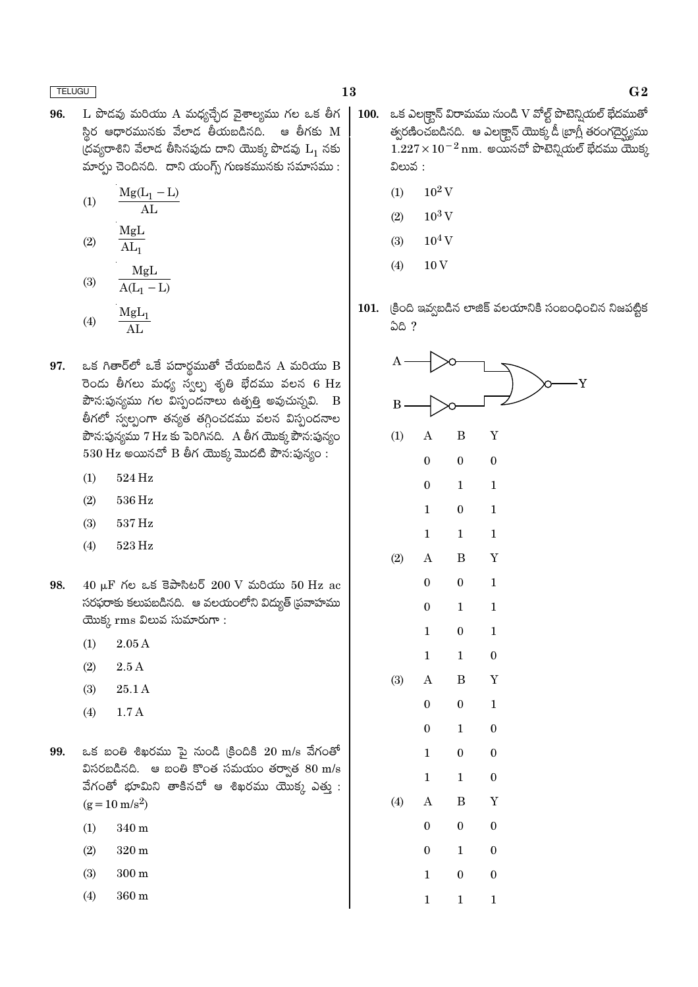- $L$  పొడవు మరియు A మధ్యచ్చేద వైశాల్యము గల ఒక తీగ 96. స్థిర ఆధారమునకు వేలాడ తీయబడినది. ఆ తీగకు M  $\check{\mathfrak{C}}$ దవ్యరాశిని వేలాడ తీసినపుడు దాని యొక్క పొడవు  $\mathrm{L}_1$  నకు మార్చు చెందినది. దాని యంగ్స్ గుణకమునకు సమాసము:
	- $Mg(L_1 L)$  $(1)$  $\overline{\rm AL}$
	- MgL  $(2)$  $\overline{\text{AL}}_1$
	- MgL  $(3)$  $A(L_1 - L)$
	- $\frac{\text{MgL}_1}{\text{AL}}$  $(4)$
- ఒక గితార్లో ఒకే పదార్థముతో చేయబడిన A మరియు B 97. రెండు తీగలు మధ్య స్వల్ప శృతి భేదము వలన 6 Hz పౌన:పున్యము గల విస్పందనాలు ఉత్పత్తి అవుచున్నవి. B తీగలో స్వల్పంగా తన్యత తగ్గించడము వలన విస్పందనాల పౌన:పున్యము 7 Hz కు పెరిగినది. A తీగ యొక్క పౌన:పున్యం  $530$  Hz అయినచో B తీగ యొక్క మొదటి పౌన:పున్యం:
	- $524\,\mathrm{Hz}$  $(1)$
	- $(2)$ 536 Hz
	- $537\,\mathrm{Hz}$  $(3)$
	- $(4)$  $523\,\mathrm{Hz}$
- 98.  $40 \mu$ F గల ఒక కెపాసిటర్ 200 V మరియు 50 Hz ac సరఫరాకు కలుపబడినది. ఆ వలయంలోని విద్యుత్ (ప్రవాహము యొక్క $rm$ ms విలువ సుమారుగా:
	- $(1)$  $2.05A$
	- $(2)$  $2.5A$
	- $(3)$ 25.1 A
	- $1.7A$  $(4)$
- 99. ఒక బంతి శిఖరము పై నుండి క్రిందికి  $20 \text{ m/s}$  వేగంతో విసరబడినది. ఆ బంతి కొంత సమయం తర్వాత  $80 \text{ m/s}$ వేగంతో భూమిని తాకినచో ఆ శిఖరము యొక్క ఎత్తు:  $(g = 10 \text{ m/s}^2)$ 
	- 340 m  $(1)$
	- $(2)$  $320 \text{ m}$
	- $(3)$  $300 \text{ m}$
	- $(4)$ 360 m
- 100. ఒక ఎలక్టాన్ విరామము నుండి V వోల్ట్ పొటెన్నియల్ భేదముతో త్వరణించబడినది. ఆ ఎలక్ట్రాన్ యొక్కడీ ట్రాగ్లీ తరంగదైర్ఘ్యము  $1.227\times10^{-2}$  nm. అయినచో పొటెన్షియల్ భేదము యొక్క విలువ :
	- $10^2$  V  $(1)$
	- $10^3$  V  $(2)$
	- $10^4$  V  $(3)$
	- 10<sub>V</sub>  $(4)$
- 101. క్రింది ఇవ్వబడిన లాజిక్ వలయానికి సంబంధించిన నిజపట్టిక **ఏది?**

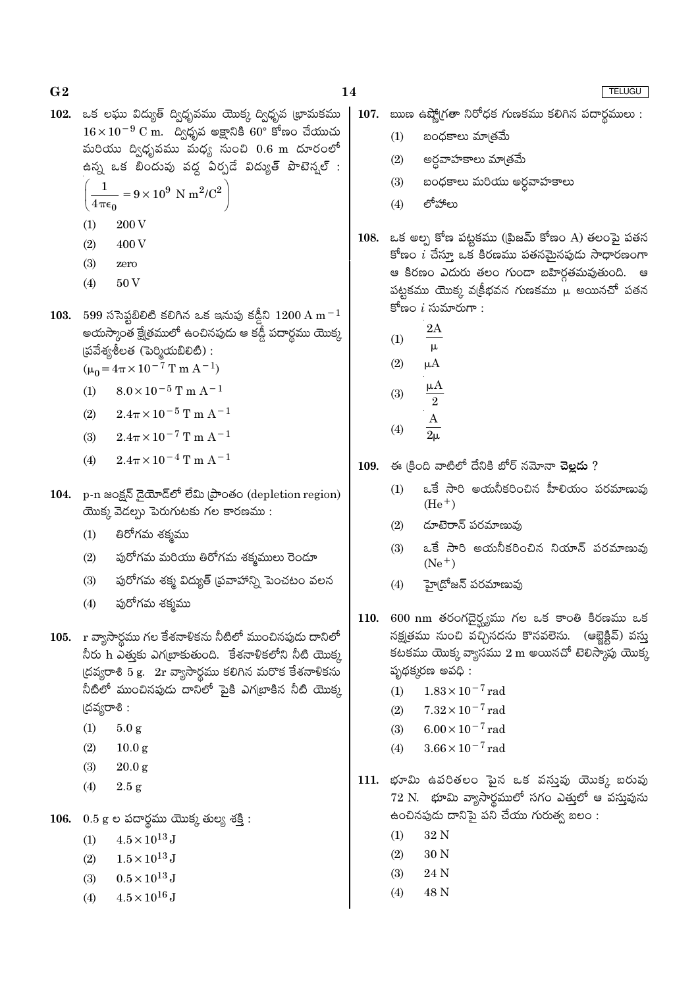$G<sub>2</sub>$ 

- $102.$  ఒక లఘు విద్యుత్ ద్విధృవము యొక్క ద్విధృవ (భామకము  $16 \times 10^{-9}$  C m. assamed and  $60^{\circ}$  state and  $360^{\circ}$  states and  $16 \times 10^{-9}$  C m. మరియు ద్విధృవము మధ్య నుంచి  $0.6$  m దూరంలో ఉన్న ఒక బిందువు వద్ద ఏర్పడే విద్యుత్ పొటెన్వల్ :
	- $= 9 \times 10^9$  N m<sup>2</sup>/C<sup>2</sup>  $4\pi\epsilon_0$
	- 200 V  $(1)$
	- 400 V  $(2)$
	- $(3)$ zero
	- 50 V  $(4)$
- 103. 599 ససెప్టబిలిటి కలిగిన ఒక ఇనుపు కడ్డీని  $1200 \text{ A m}^{-1}$ అయస్కాంత క్ష్మేతములో ఉంచినపుడు ఆ కడ్డీ పదార్థము యొక్క  $\S$ బ్రేవేశ్యశీలత (పెర్మియబిలిటి):
	- $(\mu_0 = 4\pi \times 10^{-7} \text{ T m A}^{-1})$
	- $8.0 \times 10^{-5}$  T m A<sup>-1</sup>  $(1)$
	- $2.4\pi \times 10^{-5}$  T m A<sup>-1</sup>  $(2)$
	- $2.4\pi \times 10^{-7}$  T m A<sup>-1</sup>  $(3)$
	- $2.4\pi \times 10^{-4}$  T m A<sup>-1</sup>  $(4)$
- 104. p-n జంక్షన్ డైయోడ్లో లేమి ప్రాంతం (depletion region) యొక్క వెడల్పు పెరుగుటకు గల కారణము:
	- తిరోగమ శక్మము  $(1)$
	- పురోగమ మరియు తిరోగమ శక్మములు రెండూ  $(2)$
	- పురోగమ శక్మ విద్యుత్ (పవాహాన్ని పెంచటం వలన  $(3)$
	- పురోగమ శక్మము  $(4)$
- 105. r వ్యాసార్థము గల కేశనాళికను నీటిలో ముంచినపుడు దానిలో నీరు h ఎత్తుకు ఎగట్రాకుతుంది. కేశనాళికలోని నీటి యొక్క  $\alpha$ దవ్యరాశి 5 g.  $2r$  వ్యాసార్థము కలిగిన మరొక కేశనాళికను నీటిలో ముంచినపుడు దానిలో పైకి ఎగ్(బాకిన నీటి యొక్క (దవ్యరాశి :
	- $(1)$  $5.0 g$
	- $(2)$  $10.0<sub>g</sub>$
	- $(3)$  $20.0 g$
	- $(4)$  $2.5 g$
- 106.  $0.5$  g ల పదార్థము యొక్క తుల్య శక్తి:
	- $4.5\times10^{13}\,\mathrm{J}$  $(1)$
	- $1.5 \times 10^{13}$  J  $(2)$
	- $0.5 \times 10^{13}$  J  $(3)$
	- $4.5\times10^{16}\,\mathrm{J}$  $(4)$
- 107. ఋణ ఉష్మోగ్రతా నిరోధక గుణకము కలిగిన పదార్థములు :
	- బంధకాలు మాౖతమే  $(1)$
	- $(2)$ అర్ధవాహకాలు మా[తమే
	- బంధకాలు మరియు అర్ధవాహకాలు  $(3)$
	- లోహాలు  $(4)$
- 108. ఒక అల్ప కోణ పట్టకము ((పిజమ్ కోణం A) తలంపై పతన కోణం  $i$  చేస్తూ ఒక కిరణము పతనమైనపుడు సాధారణంగా ఆ కిరణం ఎదురు తలం గుండా బహిర్గతమవుతుంది. ఆ పట్టకము యొక్క వక్రీభవన గుణకము  $\mu$  అయినచో పతన కోణం  $i$  సుమారుగా :
	- $2A$  $(1)$
	- μ  $(2)$  $\mu A$
	- $\mu A$  $(3)$
	- 2  $\overline{A}$

$$
(4) \qquad \frac{1}{2\mu}
$$

 $109.$  ఈ క్రింది వాటిలో దేనికి బోర్ నమోనా చెల్లదు ?

- ఒకే సారి అయనీకరించిన హీలియం పరమాణువు  $(1)$  $(He<sup>+</sup>)$
- దూటెరాన్ పరమాణువు  $(2)$
- ఒకే సారి అయనీకరించిన నియాన్ పరమాణువు  $(3)$  $(Ne^+)$
- హై(దోజన్ పరమాణువు  $(4)$
- 600 nm తరంగదైర్ఘ్యము గల ఒక కాంతి కిరణము ఒక **110.** నక్షత్రము నుంచి వచ్చినదను కొనవలెను. (ఆబ్లెక్టివ్) వస్తు కటకము యొక్క వ్యాసము  $2 \text{ m}$  అయినచో టెలిస్కాపు యొక్క పృథక్కరణ అవధి:
	- $1.83 \times 10^{-7}$  rad  $(1)$
	- $7.32 \times 10^{-7}$  rad  $(2)$
	- $6.00 \times 10^{-7}$  rad  $(3)$
	- $3.66 \times 10^{-7}$  rad  $(4)$
- 111. భూమి ఉపరితలం ఫైన ఒక వస్తువు యొక్క బరువు  $72$  N. భూమి వ్యాసార్ధములో సగం ఎత్తులో ఆ వస్తువును ఉంచినపుడు దానిపై పని చేయు గురుత్వ బలం :
	- $(1)$ 32 N
	- $(2)$ 30 N
	- $(3)$ 24 N
	- $(4)$ 48 N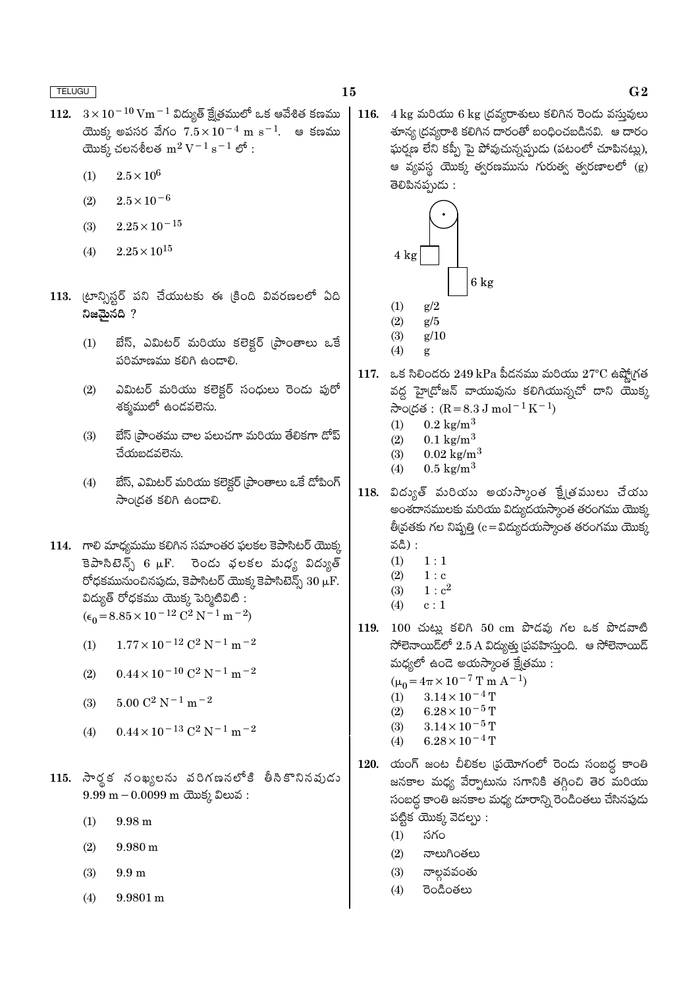- 112.  $3 \times 10^{-10}$  Vm $^{-1}$  విద్యుత్ క్షేత్రములో ఒక ఆవేశిత కణము యొక్క అపసర వేగం  $7.5 \times 10^{-4}$  m s<sup>-1</sup>. ఆ కణము యొక్క చలనశీలత  $m^2 V^{-1} s^{-1}$  లో:
	- $2.5\times10^6$  $(1)$
	- $2.5 \times 10^{-6}$  $(2)$
	- $2.25 \times 10^{-15}$  $(3)$
	- $2.25 \times 10^{15}$  $(4)$
- 113. (టాన్సిస్టర్ పని చేయుటకు ఈ క్రింది వివరణలలో ఏది నిజమైనది ?
	- బేస్, ఎమిటర్ మరియు కలెక్టర్ (పాంతాలు ఒకే  $(1)$ పరిమాణము కలిగి ఉండాలి.
	- $(2)$ ఎమిటర్ మరియు కలెక్టర్ సంధులు రెండు పురో శక్మములో ఉందవలెను.
	- బేస్ (పాంతము చాల పలుచగా మరియు తేలికగా దోప్  $(3)$ చేయబడవలెను.
	- బేస్, ఎమిటర్ మరియు కలెక్టర్ (ప్రాంతాలు ఒకే డోపింగ్  $(4)$ సాంద్రత కలిగి ఉందాలి.

114. గాలి మాధ్యమము కలిగిన సమాంతర ఫలకల కెపాసిటర్ యొక్క కెపాసిటెన్స్ 6 µF. రెండు ఫలకల మధ్య విద్యుత్ రోధకమునుంచినపుడు, కెపాసిటర్ యొక్క కెపాసిటెన్స్  $30 \mu F$ . విద్యుత్ రోధకము యొక్క పెర్మిటివిటి :  $(\epsilon_0 = 8.85 \times 10^{-12} \text{ C}^2 \text{ N}^{-1} \text{ m}^{-2})$ 

- $1.77 \times 10^{-12}$  C<sup>2</sup> N<sup>-1</sup> m<sup>-2</sup>  $(1)$
- $0.44 \times 10^{-10}$  C<sup>2</sup> N<sup>-1</sup> m<sup>-2</sup>  $(2)$
- $5.00 C^2 N^{-1} m^{-2}$  $(3)$
- $0.44 \times 10^{-13}$  C<sup>2</sup> N<sup>-1</sup> m<sup>-2</sup>  $(4)$
- 115. సార్థక నంఖ్యలను వరిగణనలోకి తీసికొనినవుడు  $9.99 \text{ m} - 0.0099 \text{ m}$  యొక్క విలువ:
	- $(1)$  $9.98 \text{ m}$
	- $(2)$  $9.980 \text{ m}$
	- $(3)$  $9.9<sub>m</sub>$
	- $(4)$  $9.9801 \text{ m}$

116.  $4 \text{ kg}$  మరియు 6 kg (దవ్యరాశులు కలిగిన రెందు వస్తువులు తాన్య ద్రవ్యరాశి కలిగిన దారంతో బంధించబడినవి. ఆ దారం ఘర్ఘణ లేని కప్పీ పై పోవుచున్నప్పుడు (పటంలో చూపినట్లు), ఆ వ్యవస్థ యొక్క త్వరణమును గురుత్వ త్వరణాలలో (g) తెలిపినప్పుడు :



- $(4)$ g
- 117. ఒక సిలిందరు 249 kPa పీడనము మరియు  $27^{\circ}\text{C}$  ఉష్మోగ్రత వద్ద హై(దోజన్ వాయువును కలిగియున్నచో దాని యొక్క సాంద్రత:  $(R = 8.3 J \text{ mol}^{-1} K^{-1})$ 
	- $0.2 \text{ kg/m}^3$  $(1)$
	- $0.1 \text{ kg/m}^3$  $(2)$
	- $(3)$  $0.02 \text{ kg/m}^3$
	- $(4)$  $0.5 \text{ kg/m}^3$
- $118.$  విద్యుత్ మరియు అయన్కాంత క్షేత్రములు చేయు అంశదానములకు మరియు విద్యుదయస్కాంత తరంగము యొక్క తీ|వతకు గల నిష్పత్తి (c = విద్యుదయస్కాంత తరంగము యొక్క వది) :
	- $1:1$  $(1)$
	- $(2)$  $1 : c$
	- $1: c^2$  $(3)$
	- $(4)$  $c:1$
- 119. 100 చుట్లు కలిగి 50 cm పొడవు గల ఒక పొడవాటి  $\mathfrak F$ లెనాయిడ్లలో 2.5 A విద్యుత్తు (పవహిస్తుంది. ఆ సోలెనాయిడ్ మధ్యలో ఉండె అయస్కాంత క్షేత్రము:
	- $(\mu_0 = 4\pi \times 10^{-7} \text{ T m A}^{-1})$
	- $3.14\times10^{-4}\,\mathrm{T}$  $(1)$
	- $(2)$  $6.28 \times 10^{-5}$  T
	- $3.14 \times 10^{-5}$  T  $(3)$
	- $6.28\times10^{-4}\,\mathrm{T}$  $(4)$
- $120.$  యంగ్ జంట చీలికల (పయోగంలో రెండు సంబద్ధ కాంతి జనకాల మధ్య వేర్పాటును సగానికి తగ్గించి తెర మరియు సంబద్ధ కాంతి జనకాల మధ్య దూరాన్ని రెండింతలు చేసినపుడు పట్టిక యొక్క వెదల్సు:
	- సగం  $(1)$
	- $(2)$ నాలుగింతలు
	- $(3)$ నాల్గవవంతు
	- రెండింతలు  $(4)$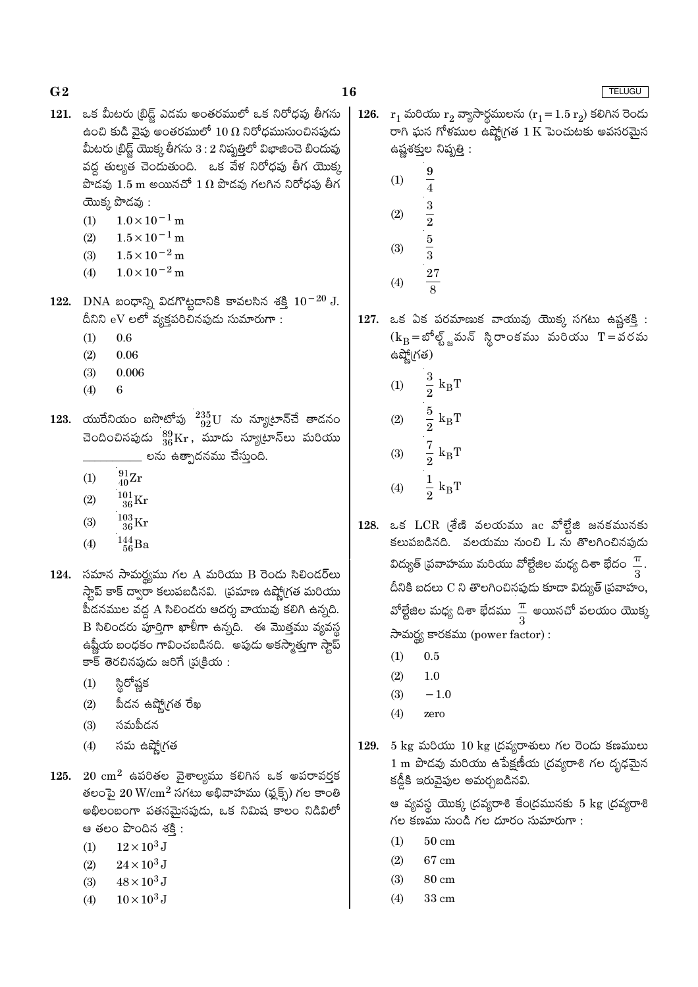- 16
- 121. ఒక మీటరు (బిడ్జ్ ఎడమ అంతరములో ఒక నిరోధపు తీగను ఉంచి కుడి వైపు అంతరములో  $10\,\Omega$  నిరోధమునుంచినపుడు మీటరు (బ్రిడ్ష్ యొక్క తీగను  $3:2$  నిష్పత్తిలో విభాజించె బిందువు వద్ద తుల్యత చెందుతుంది. ఒక వేళ నిరోధపు తీగ యొక్క పొడవు  $1.5 \text{ m}$  అయినచో  $1 \Omega$  పొడవు గలగిన నిరోధపు తీగ యొక్క పొడవు:
	- $1.0 \times 10^{-1}$  m  $(1)$
	- $(2)$  $1.5 \times 10^{-1}$  m
	- $(3)$  $1.5 \times 10^{-2}$  m
	- $1.0 \times 10^{-2}$  m  $(4)$
- 122. DNA బంధాన్ని విదగొట్టడానికి కావలసిన శక్తి  $10^{-20}$  J. దీనిని eV లలో వ్యక్తపరిచినపుడు సుమారుగా:
	- $(1)$  $0.6$
	- $(2)$ 0.06
	- $(3)$  $0.006$
	- $(4)$ 6
- 123. యురేనియం ఐసొటోపు  $^{235}_{92}$ U ను న్యూటాన్చే తాడనం చెందించినపుడు  $^{89}_{36}\mathrm{Kr}$ , మూడు న్యూటాన్లు మరియు \_\_ లను ఉత్పాదనము చేస్తుంది.
	- $\frac{91}{40}Zr$  $(1)$
	- $^{101}_{\phantom{1}36}\mathrm{Kr}$  $(2)$
	- $^{103}_{\phantom{1}36}\mathrm{Kr}$  $(3)$
	- $^{144}_{\ 56}Ba$  $(4)$
- 124. సమాన సామర్థ్యము గల A మరియు B రెండు సిలిండర్**లు** స్టాప్ కాక్ ద్వారా కలుపబడినవి. (పమాణ ఉష్ణో(గత మరియు పీడనముల వద్ద A సిలిండరు ఆదర్శ వాయువు కలిగి ఉన్నది. B సిలిండరు పూర్తిగా ఖాళీగా ఉన్నది. ఈ మొత్తము వ్యవస్థ ఉష్ణీయ బంధకం గావించబడినది. అపుడు అకస్మాత్తుగా స్టాప్ కాక్ తెరచినపుడు జరిగే (ప(కియ :
	- $(1)$ స్థిరోష్ణక
	- పీదన ఉష్మో(గత రేఖ  $(2)$
	- సమపీదన  $(3)$
	- $(4)$ సమ ఉష్మో(గత
- 125.  $20 \text{ cm}^2$  ఉపరితల వైశాల్యము కలిగిన ఒక అపరావర్తక తలంపై  $20 \text{ W/cm}^2$  సగటు అభివాహము (ఫ్లక్స్) గల కాంతి అభిలంబంగా పతనమైనపుడు, ఒక నిమిష కాలం నిడివిలో ఆ తలం పొందిన శకి:
	- $12\times10^3$  J  $(1)$
	- $24\times10^3\,\mathrm{J}$  $(2)$
	- $48 \times 10^3$  J  $(3)$
	- $(4)$  $10 \times 10^3$  J

126.  $r_1$  మరియు  $r_2$  వ్యాసార్థములను  $(r_1 = 1.5 r_2)$  కలిగిన రెండు రాగి ఘన గోళముల ఉష్ణోగత  $1\,\mathrm{K}$  పెంచుటకు అవసరమైన ఉష్ణశక్ముల నిష్పత్తి :

> 9  $(1)$  $\overline{4}$ 3  $(2)$  $\overline{2}$  $\overline{5}$  $(3)$  $\overline{3}$ **27**  $(4)$

127. ఒక ఏక పరమాణుక వాయువు యొక్క సగటు ఉష్ణశక్తి :  $(k_B = \text{20\%})$ ్ణమన్ స్థిరాంకము మరియు  $T = 30$ రమ ఉష్మో(గత)

- $\frac{3}{2}$  $k_BT$  $(1)$
- $\frac{5}{2}$  $(2)$  $k_B T$  $\frac{7}{2}$  $(3)$  $k_BT$
- ఒక  ${LCR}$  (శేణి వలయము  ${ac}$  వోల్టేజి జనకమునకు 128. కలుపబడినది. వలయము నుంచి L ను తొలగించినపుడు విద్యుత్ (పవాహము మరియు వోల్టేజిల మధ్య దిశా భేదం $\frac{\pi}{2}$ . దీనికి బదలు C ని తొలగించినపుడు కూడా విద్యుత్ <sub>(</sub>పవాహం, వోల్టేజిల మధ్య దిశా భేదము $\frac{\pi}{3}$  అయినచో వలయం యొక్క సామర్థ్య కారకము (power factor):
	- $(1)$  $0.5$
	- $(2)$  $1.0$
	- $(3)$  $-1.0$
	- $(4)$ zero
- 129. 5 kg మరియు  $10 \text{ kg}$  (దవ్యరాశులు గల రెండు కణములు 1 m పొడవు మరియు ఉపేక్షణీయ (దవ్యరాశి గల దృఢమైన కడ్డీకి ఇరువైపుల అమర్చబడినవి.

ఆ వ్యవస్థ యొక్క (దవ్యరాశి కేం(దమునకు 5 kg (దవ్యరాశి గల కణము నుండి గల దూరం సుమారుగా :

- $(1)$  $50 \text{ cm}$
- $(2)$ 67 cm
- $(3)$ 80 cm
- $(4)$ 33 cm

- 
- $\frac{1}{2} k_B T$  $(4)$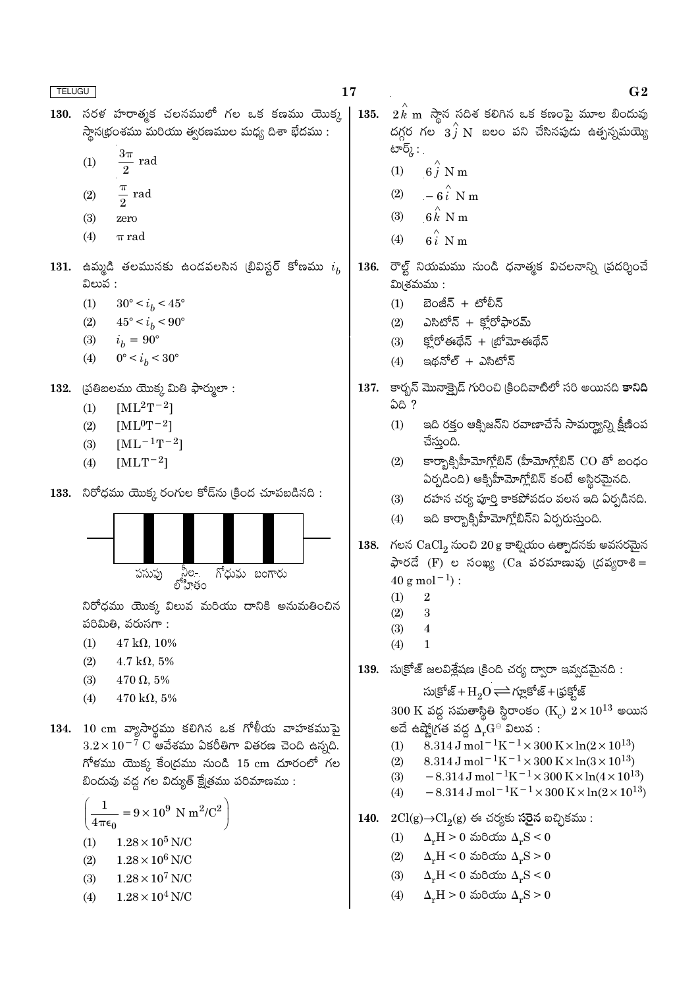$G<sub>2</sub>$ 

 $130.$  సరళ హరాత్మక చలనములో గల ఒక కణము యొక్క  $2\overset{\frown}{k}$  m సాైన సదిశ కలిగిన ఒక కణంపై మూల బిందువు 135. దగ్గర గల  $3\hat{j}$  N బలం పని చేసినపుడు ఉత్పన్నమయ్యె స్థాన(భంశము మరియు త్వరణముల మధ్య దిశా భేదము : టార్క్ : .  $(1)$ rad  $6\stackrel{\frown}{i}$  N m  $(1)$  $rac{\pi}{2}$  rad  $(2)$  $-6\hat{i}$  N m  $(2)$  $(3)$  $6k$  N m  $(3)$ zero  $6\hat{i}$  N m  $(4)$  $\pi$  rad  $(4)$ 131. ఉమ్మడి తలమునకు ఉండవలసిన (బివిస్టర్ కోణము  $i_h$ 136. రౌల్ట్ నియమము నుండి ధనాత్మక విచలనాన్ని (పదర్శించే విలువ :  $2\nu$ (శమము:  $(1)$  $30^{\circ} < i_h < 45^{\circ}$  $(1)$ బెంజీన్ + టోలీన్ ఎసిటోన్ + క్రోరోఫారమ్  $(2)$  $45^{\circ} < i_b < 90^{\circ}$  $(2)$  $i_h = 90^{\circ}$ క్హోరోఈథేన్ + బ్రోమోఈథేన్  $(3)$  $(3)$  $0^{\circ} < i_b < 30^{\circ}$  $(4)$ ఇథనోల్ + ఎసిటోన్  $(4)$ 137. కార్బన్ మొనాక్పైడ్ గురించి (కిందివాటిలో సరి అయినది **కానిది** 132. (పతిబలము యొక్క మితి ఫార్ములా : ఏది ?  $[ML^2T^{-2}]$  $(1)$  $[ML^0T^{-2}]$ ఇది రక్తం ఆక్సిజన్ని రవాణాచేసే సామర్థ్యాన్ని క్షీణింప  $(2)$  $(1)$ చేస్తుంది.  $(3)$  $[ML^{-1}T^{-2}]$ కార్బాక్సిహీమోగ్లోబిన్ (హీమోగ్లోబిన్ CO తో బంధం  $(2)$  $[MLT^{-2}]$  $(4)$ ఏర్పడింది) ఆక్సిహీమోగ్లోబిన్ కంటే అస్థిరమైనది. 133. నిరోధము యొక్క రంగుల కోడ్ ను క్రింద చూపబడినది: దహన చర్య పూర్తి కాకపోవడం వలన ఇది ఏర్పడినది.  $(3)$  $(4)$ ఇది కార్బాక్సిహీమోగ్లోబిన్ని ఏర్పరుస్తుంది. 138. గలన  $CaCl<sub>2</sub>$  నుంచి 20 g కాల్వియం ఉత్పాదనకు అవసరమైన  $\frac{1}{2}$ లేద (F) ల సంఖ్య (Ca పరమాణువు (దవ్యరాశి = నీల-<br>లోహితం పసుపు గోధువు బంగారు  $40 \text{ g mol}^{-1}$ :  $(1)$  $\overline{2}$ నిరోధము యొక్క విలువ మరియు దానికి అనుమతించిన  $(2)$  $\overline{\mathbf{3}}$ పరిమితి, వరుసగా:  $(3)$  $\overline{4}$  $47 \text{ k}\Omega, 10\%$  $(1)$  $(4)$  $\mathbf{1}$  $(2)$  $4.7 \text{ k}\Omega, 5\%$ సు(కోజ్ జలవిశ్లేషణ (కింది చర్య ద్వారా ఇవ్వడమైనది : 139.  $(3)$  $470 \Omega, 5\%$ సుక్రోజ్ + $H_2O \rightleftharpoons$ గ్లూకోజ్ + (ఫక్హోజ్  $(4)$  $470 \text{ k}\Omega, 5\%$  $300 \text{ K}$  వద్ద సమతాస్థితి స్థిరాంకం  $(\text{K}_c) \ 2 \times 10^{13}$  అయిన 134. 10 cm వ్యాసార్థము కలిగిన ఒక గోళీయ వాహకముపై అదే ఉష్మోగ్రత వద్ద  $\Delta_r G^{\ominus}$  విలువ : 8.314 J mol<sup>-1</sup>K<sup>-1</sup> × 300 K × ln(2 × 10<sup>13</sup>)  $3.2 \times 10^{-7}$  C ఆవేశము ఏకరీతిగా వితరణ చెంది ఉన్నది.  $(1)$ 8.314 J mol<sup>-1</sup>K<sup>-1</sup> × 300 K × ln(3 × 10<sup>13</sup>)  $(2)$  $F$ ీళము యొక్క కేంద్రము నుండి 15  $cm$  దూరంలో గల  $-8.314 \,\mathrm{J}$  mol<sup>-1</sup>K<sup>-1</sup>×300 K×ln(4×10<sup>13</sup>)  $(3)$ బిందువు వద్ద గల విద్యుత్ క్షేత్రము పరిమాణము :  $-8.314 \,\mathrm{J}$  mol<sup>-1</sup>K<sup>-1</sup>×300 K×ln(2×10<sup>13</sup>)  $(4)$  $\frac{1}{1}$  = 9 × 10<sup>9</sup> N m<sup>2</sup>/C<sup>2</sup> 140.  $2Cl(g) \rightarrow Cl_2(g)$  ఈ చర్యకు సరైన ఐచ్చికము:  $\frac{4}{\pi\epsilon_0}$  $\Delta_r H > 0$  మరియు  $\Delta_r S < 0$  $(1)$  $1.28\times10^5$  N/C  $(1)$  $\Delta_r H \leq 0$  మరియు  $\Delta_r S \geq 0$  $(2)$  $1.28 \times 10^6$  N/C  $(2)$  $\Delta_r H < 0$  మరియు  $\Delta_r S < 0$  $(3)$  $1.28 \times 10^7$  N/C  $(3)$  $(4)$  $\Delta_r H > 0$  మరియు  $\Delta_r S > 0$  $1.28\times10^4$  N/C  $(4)$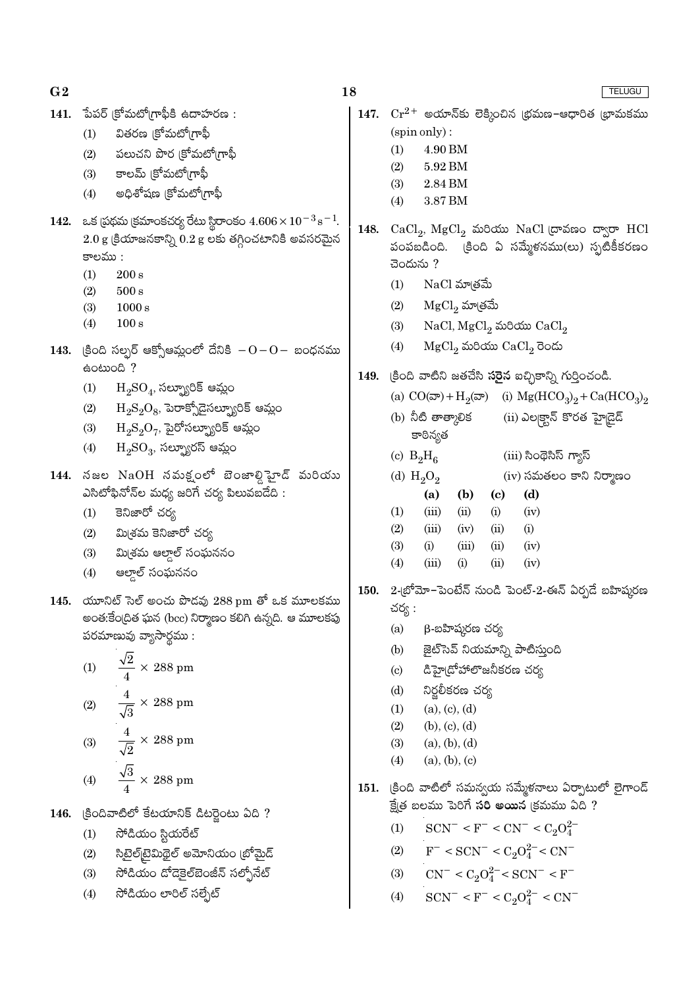| G <sub>2</sub> |                                                                                                     | 18          | <b>TELUGU</b>                                                                                            |
|----------------|-----------------------------------------------------------------------------------------------------|-------------|----------------------------------------------------------------------------------------------------------|
| 141.           | పేపర్ క్రోమటోగ్రాఫీకి ఉదాహరణ :                                                                      | 147.        | $\mathrm{Cr^{2+}}$ అయాన్కు లెక్కించిన (భమణ–ఆధారిత (భామకము                                                |
|                | వితరణ (కోమటోగ్రాఫీ<br>(1)                                                                           |             | (spin only):                                                                                             |
|                | పలుచని పొర (కోమటో(గాఫీ<br>(2)                                                                       |             | (1)<br>4.90 BM                                                                                           |
|                | కాలమ్ (కోమటో(గాఫీ<br>(3)                                                                            |             | 5.92 BM<br>(2)                                                                                           |
|                | అధిశోషణ (కోమటో(గాఫీ<br>(4)                                                                          |             | (3)<br>2.84 BM<br>3.87 BM<br>(4)                                                                         |
| 142.           | ఒక (పథమ (కమాంకచర్య రేటు స్థిరాంకం $4.606\times10^{-3}\,\text{s}^{-1}$ .                             |             |                                                                                                          |
|                | $2.0$ g క్రియాజనకాన్ని $0.2$ g లకు తగ్గించటానికి అవసరమైన                                            | 148.        | $CaCl2$ , $MgCl2$ మరియు NaCl (దావణం ద్వారా HCl                                                           |
|                | కాలము :                                                                                             |             | పంపబడింది. క్రింది ఏ సమ్మేళనము(లు) స్ఫటికీకరణం                                                           |
|                | (1)<br>$200\,\mathrm{s}$                                                                            |             | చెందును ?                                                                                                |
|                | (2)<br>$500\,\mathrm{s}$                                                                            |             | NaCl మాత్రమే<br>(1)                                                                                      |
|                | (3)<br>1000 s                                                                                       |             | ${ {\rm MgCl}_2}$ మా(తమే<br>(2)                                                                          |
|                | 100 s<br>(4)                                                                                        |             | $NaCl, MgCl2$ మరియు $CaCl2$<br>(3)                                                                       |
| 143.           | (కింది సల్సర్ ఆక్సోఆమ్లంలో దేనికి $-0-0-$ బంధనము                                                    |             | $MgCl2$ మరియు $CaCl2$ రెండు<br>(4)                                                                       |
|                | eomon ?                                                                                             | 149.        | (కింది వాటిని జతచేసి <b>సరైన</b> ఐచ్ఛికాన్ని గుర్తించండి.                                                |
|                | $\mathrm{H}_2\mathrm{SO}_4$ , సల్ఫ్యూరిక్ ఆమ్లం<br>(1)                                              |             | (a) $CO(\overline{\omega}) + H_2(\overline{\omega})$ (i) $Mg(HCO_3)_2 + Ca(HCO_3)_2$                     |
|                | $\rm H_2S_2O_8$ , పెరాక్సోడైసల్బ్యూరిక్ ఆమ్లం<br>(2)                                                |             | (b) నీటి తాత్కాలిక<br>(ii) ఎల్కక్టాన్ కొరత హైడైడ్                                                        |
|                | $\mathrm{H_2S_2O_7}$ , పైరోసల్ప్యూరిక్ ఆమ్లం<br>(3)                                                 |             | కాఠిన్యత                                                                                                 |
|                | $\mathrm{H_{2}SO_{3}}$ , సల్ఫ్యూరస్ ఆమ్లం<br>(4)                                                    |             | (iii) సింథెసిస్ గ్యాస్<br>(c) $B_2H_6$                                                                   |
|                | 144. నజల $\mathrm{NaOH}$ నమక్షంలో బెంజాల్డి హైడ్ మరియు                                              |             | (d) $H_2O_2$<br>$(iv)$ సమతలం కాని నిర్మాణం                                                               |
|                | ఎసిటోఫినోన్ల మధ్య జరిగే చర్య పిలువబడేది :                                                           |             | (d)<br>(b)<br>(a)<br>(c)                                                                                 |
|                | కెనిజారో చర్య<br>(1)                                                                                |             | (iii)<br>(ii)<br>(1)<br>(i)<br>(iv)                                                                      |
|                | మి(శమ కెనిజారో చర్య<br>(2)                                                                          |             | (2)<br>(iii)<br>(ii)<br>(i)<br>(iv)                                                                      |
|                | మి(శమ ఆల్డాల్ సంఘననం<br>(3)                                                                         |             | (3)<br>(i)<br>(iii)<br>(ii)<br>(iv)                                                                      |
|                | ఆల్తాల్ సంఘననం<br>(4)                                                                               |             | (iii)<br>(ii)<br>(4)<br>(i)<br>(iv)                                                                      |
|                |                                                                                                     | <b>150.</b> | 2-(బోమో–పెంటేన్ నుండి పెంట్-2-ఈన్ ఏర్పడే బహిష్కరణ                                                        |
| 145.           | యూనిట్ సెల్ అంచు పొడవు 288 pm తో ఒక మూలకము<br>అంత:కేంద్రిత ఘన (bcc) నిర్మాణం కలిగి ఉన్నది. ఆ మూలకపు |             | చర్య :                                                                                                   |
|                | పరమాణువు వ్యాసార్థము :                                                                              |             | β-బహిష్కరణ చర్య<br>(a)                                                                                   |
|                |                                                                                                     |             | (b)<br>జైట్సెవ్ నియమాన్ని పాటిస్తుంది                                                                    |
|                | $\frac{\sqrt{2}}{4} \times 288$ pm<br>(1)                                                           |             | డిహై(దోహాలొజనీకరణ చర్య<br>(c)                                                                            |
|                |                                                                                                     |             | నిర్జలీకరణ చర్య<br>(d)                                                                                   |
|                | (2) $\frac{4}{\sqrt{3}} \times 288 \text{ pm}$                                                      |             | (a), (c), (d)<br>(1)                                                                                     |
|                |                                                                                                     |             | (b), (c), (d)<br>(2)                                                                                     |
|                | $\frac{4}{\sqrt{2}} \times 288$ pm<br>(3)                                                           |             | (3)<br>(a), (b), (d)                                                                                     |
|                |                                                                                                     |             | (4)<br>(a), (b), (c)                                                                                     |
|                | $\frac{\sqrt{3}}{4} \times 288$ pm<br>(4)                                                           | 151.        | క్రింది వాటిలో సమన్వయ సమ్మేకనాలు ఏర్పాటులో లైగాండ్                                                       |
| 146.           | క్రిందివాటిలో కేటయానిక్ డిటర్లైంటు ఏది ?                                                            |             | క్షేత్ర బలము పెరిగే సరి అయిన క్రమము ఏది ?                                                                |
|                | సోడియం స్టియరేట్<br>(1)                                                                             |             | $SCN^- < F^- < CN^- < C_2O_4^{2-}$<br>(1)                                                                |
|                | సిటైల్[టైమిథైల్ అమోనియం (బోమైద్<br>(2)                                                              |             | (2) $F^-$ < SCN <sup>-</sup> < C <sub>2</sub> O <sub>4</sub> <sup>2</sup> <sup>-</sup> < CN <sup>-</sup> |
|                | సోడియం దోడెకైల్ఐెంజీన్ సల్ఫోనేట్<br>(3)                                                             |             | (3) $CN^- < C_2O_4^{2-} < SCN^- < F^-$                                                                   |
|                | సోడియం లారిల్ సల్సేట్<br>(4)                                                                        |             |                                                                                                          |
|                |                                                                                                     |             | $SCN^- < F^- < C_2O_4^{2-} < CN^-$<br>(4)                                                                |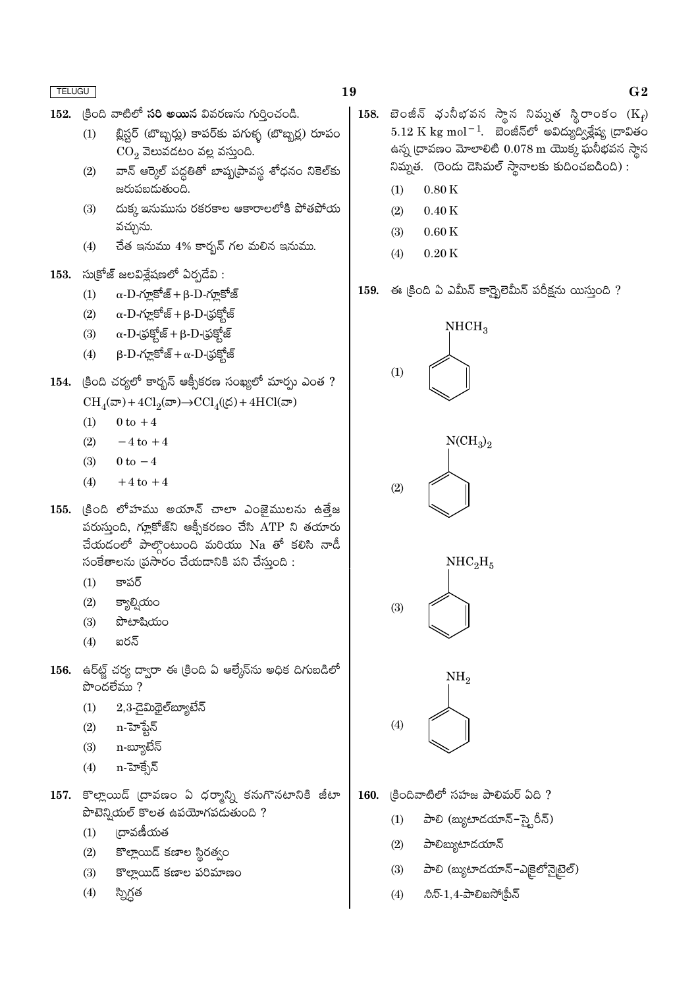- 19
- $152.$   $|300$  వాటిలో సరి అయిన వివరణను గుర్తించండి.
	- బ్లిస్టర్ (బొబ్బర్లు) కాపర్కు పగుళ్ళ (బొబ్బర్ల) రూపం  $(1)$  $CO<sub>2</sub>$  వెలువడటం వల్ల వస్తుంది.
	- $(2)$ వాన్ ఆర్కెల్ పద్ధతితో బాష్నట్రావస్థ శోధనం నికెల్కు జరుపబడుతుంది.
	- దుక్క ఇనుమును రకరకాల ఆకారాలలోకి పోతపోయ  $(3)$ వచ్చును.
	- చేత ఇనుము 4% కార్బన్ గల మలిన ఇనుము.  $(4)$
- $153.$  సుక్రోజ్ జలవిశ్లేషణలో ఏర్పడేవి :
	- $\alpha$ -D-గ్లూకోజ్ + β-D-గ్లూకోజ్  $(1)$
	- $\alpha$ - $\mathrm{D}$ -గూ్లకోజ్ +  $\beta$ - $\mathrm{D}$ -(ఫక్రోజ్  $(2)$
	- $\alpha$ - $D$ -(ఫ్రక్షోజ్ +  $\beta$ - $D$ -(ఫక్షోజ్  $(3)$
	- $\beta$ - $D$ -గూ్లకోజ్ +  $\alpha$ - $D$ -(ఫక్హోజ్  $(4)$
- 154. క్రింది చర్యలో కార్బన్ ఆక్సీకరణ సంఖ్యలో మార్సు ఎంత ?  $\text{CH}_4(\text{D}) + 4\text{Cl}_2(\text{D}) \rightarrow \text{CCl}_4(\text{D}) + 4\text{HCl}(\text{D})$ 
	- $0$  to  $+4$  $(1)$
	- $(2)$  $-4$  to  $+4$
	- $0 \text{ to } -4$
	- $(3)$
	- $(4)$  $+4$  to  $+4$
- 155. (కింది లోహము అయాన్ చాలా ఎంజైములను ఉత్తేజ పరుస్తుంది, గ్లూకోజ్ని ఆక్సీకరణం చేసి ATP ని తయారు చేయడంలో పాల్గొంటుంది మరియు Na తో కలిసి నాడీ సంకేతాలను ప్రసారం చేయదానికి పని చేసుంది:
	- $(1)$ కాపర్
	- క్యాల్సియం  $(2)$
	- పొటాషియం  $(3)$
	- $(4)$ ఐరన్
- 156. ఉర్ట్హ్ చర్య ద్వారా ఈ క్రింది ఏ ఆల్కేన్ను అధిక దిగుబడిలో  $\overline{\text{cyc}}$ దలేము?
	- $2,3$ -డైమిథైల్ౠ్యబేన్  $(1)$
	- n-హెప్టేన్  $(2)$
	- n-బ్యూటేన్  $(3)$
	- n-హెక్సేన్  $(4)$
- 157. కొల్లాయిడ్ (దావణం ఏ ధర్మాన్ని కనుగొనటానికి జీటా పొటెన్నియల్ కొలత ఉపయోగపడుతుంది ?
	- ౹దావణీయత  $(1)$
	- $(2)$ కొల్లాయిడ్ కణాల స్థిరత్వం
	- కొల్తాయిడ్ కణాల పరిమాణం  $(3)$
	- $(4)$ స్నిగ్గత
- 158. బెంజీన్ భునీభవన స్థాన నివ్నుత స్థిరాంకం  $(K_f)$  $5.12 \text{ K} \text{ kg} \text{ mol}^{-1}$ . బెంజీన్లో అవిద్యుద్వీశ్లేష్య ద్రావితం ఉన్న (దావణం మోలాలిటి  $0.078$  m యొక్క ఘనీభవన స్థాన నిమ్నత. (రెండు డెసిమల్ స్థానాలకు కుదించబడింది):
	- $0.80K$  $(1)$
	- $(2)$  $0.40K$
	- $(3)$  $0.60K$
	- $(4)$  $0.20K$
- 159. ఈ క్రింది ఏ ఎమీన్ కార్బెలెమీన్ పరీక్షను యిస్తుంది ?



- (కిందివాటిలో సహజ పాలిమర్ ఏది ? 160.
	- పాలి (బ్యుటాడయాన్-స్టైరీన్)  $(1)$
	- పాలిబ్యుటాదయాన్  $(2)$
	- పాలి (బ్యుటాదయాన్-ఎకైలోన్టెటైల్)  $(3)$
	- $\partial\bar{z}\bar{z}$ -1.4-పాలిఐసో!పీన్  $(4)$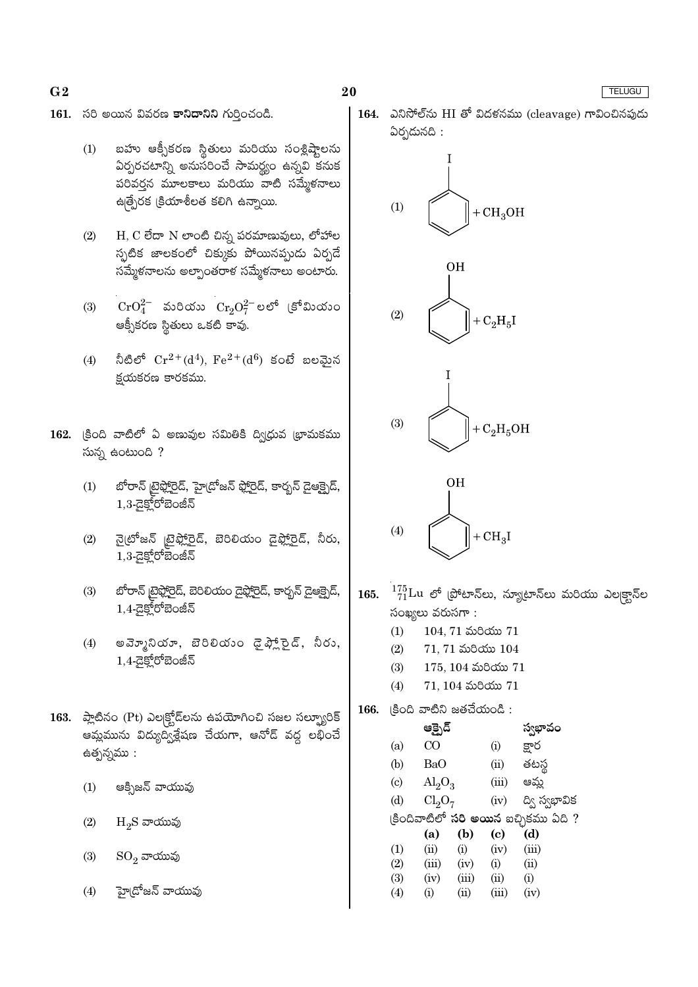- $G<sub>2</sub>$
- 161. సరి అయిన వివరణ కానిదానిని గుర్తించండి.
	- బహు ఆక్సీకరణ స్థితులు మరియు సంశ్లిష్ఠాలను  $(1)$ ఏర్పరచటాన్ని అనుసరించే సామర్థ్యం ఉన్నవి కనుక పరివర్తన మూలకాలు మరియు వాటి సమ్మేళనాలు ఉత్పేరక క్రియాశీలత కలిగి ఉన్నాయి.
	- $(2)$  $H$ ,  $C$  లేదా  $N$  లాంటి చిన్న పరమాణువులు, లోహాల స్పటిక జాలకంలో చిక్కుకు పోయినప్పుడు ఏర్పడే సమ్మేళనాలను అల్పాంతరాళ సమ్మేళనాలు అంటారు.
	- $\rm CrO_4^{2-}$  మరియు  $\rm Cr_2O_7^{2-}$ లలో (కోమియుం  $(3)$ ఆక్సీకరణ స్థితులు ఒకటి కావు
	- నీటిలో  $Cr^{2+}(d^4)$ ,  $Fe^{2+}(d^6)$  కంటే బలమైన  $(4)$ క్షయకరణ కారకము.
- 162. క్రింది వాటిలో ఏ అణువుల సమితికి ద్విధువ భామకము సున్న ఉంటుంది ?
	- బోరాన్ టైఫ్లోరైడ్, హైడోజన్ ఫ్లోరైడ్, కార్బన్ డైఆక్సైడ్,  $(1)$  $1,3$ -డైక్హోరోబెంజీన్
	- నైటోజన్ |టైఫ్లోరైడ్, బెరిలియం డైఫ్లోరైడ్, నీరు,  $(2)$ 1,3-డైక్లోరోబెంజీన్
	- బోరాన్ టైఫ్హోరైడ్, బెరిలియం డైఫ్హోరైడ్, కార్బన్ డైఆక్సైడ్,  $(3)$  $1,4$ -යුපූ්රේඞිංజీన్
	- అవె్మూనియా, బెరిలియం డైఫ్లాన్డైర్, నీరు,  $(4)$  $1,4$ - $\overline{a}$ క్రోబెంజీన్
- 163. amazo (Pt) ఎల్కక్టోడ్ లను ఉపయోగించి సజల సల్బ్యూరిక్ ఆమ్లమును విద్యుద్విశ్లేషణ చేయగా, ఆనోడ్ వద్ద లభించే ఉత్పన్నము :
	- $(1)$ ఆక్సిజన్ వాయువు
	- $(2)$  $H_2S$  వాయువు
	- $SO_2$  వాయువు  $(3)$
	- హై(దోజన్ వాయువు  $(4)$

164. ఎనిసోల్ ను HI తో విదళనము (cleavage) గావించినపుడు ఏర్పడునది :



20



 $^{175}_{71}$ Lu లో (పోటాన్లు, న్యూటాన్లు మరియు ఎల|క్టాన్ల 165. సంఖ్యలు వరుసగా:  $(1)$  $104, 71$  మరియు  $71$  $(2)$  $71.71$  మరియు  $104$  $(3)$  $175, 104$  మరియు  $71$  $(4)$  $71, 104$  మరియు  $71$ (కింది వాటిని జతచేయండి: 166. స్వభావం ఆక్సైడ్  $(a)$  $CO$  $(i)$ క్షార తటస్థ  $(b)$ **BaO**  $(ii)$  $\left( \mathrm{c}\right)$  $\text{Al}_2\text{O}_3$  $(iii)$ ఆమ్ల  $(d)$  $Cl<sub>2</sub>O<sub>7</sub>$  $(iv)$ ద్వి స్వభావిక క్రిందివాటిలో **సరి అయిన** ఐచ్చికము ఏది ?  $(b)$  $(d)$  $(a)$  $\left( \mathrm{e}\right)$  $(1)$  $(ii)$  $(iii)$  $(i)$  $(iv)$  $(2)$  $(iii)$  $(i)$  $(ii)$  $(iv)$  $(3)$  $(iv)$  $(iii)$  $(ii)$  $(i)$  $(4)$  $(i)$  $(ii)$  $(iii)$  $(iv)$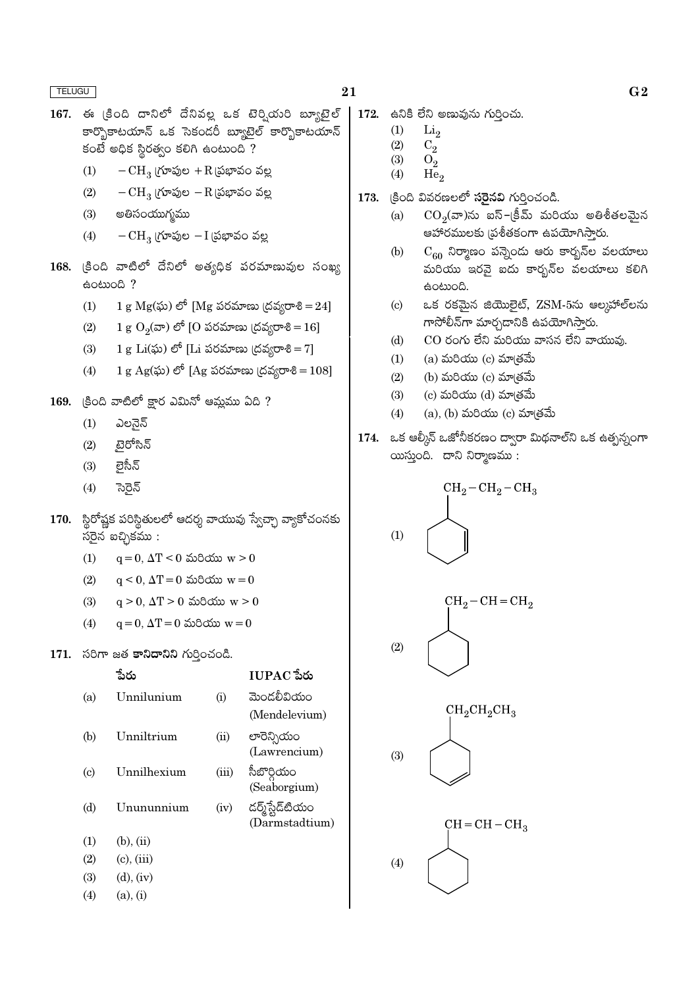- $167.$  ఈ (కింది దానిలో దేనివల్ల ఒక టెర్వియరి బ్యూటైల్ కార్బొకాటయాన్ ఒక సెకండరీ బ్యూటెల్ కార్బొకాటయాన్  $\sim$  පිරිස් සිරුණු ප්රාරි ස්රියා කර
	- $(1)$  $-CH<sub>3</sub>$  (గూపుల +R (పభావం వల్ల
	- $-CH<sub>3</sub>$  (గూపుల  $-R$  (పభావం వల్ల  $(2)$
	- అతిసంయుగ్మము  $(3)$
	- $(4)$  $-CH_3$  (గూపుల  $-I$  (పభావం వల్ల
- 168.  $\xi$ oది వాటిలో దేనిలో అత్యధిక పరమాణువుల సంఖ్య eomog ?
	- 1 g  $Mg(x)$ ) లో [Mg పరమాణు (దవ్యరాశి = 24]  $(1)$
	- $1 g O<sub>2</sub>(x)$ లో [O పరమాణు (దవ్యరాశి = 16]  $(2)$
	- 1 g Li $(\tilde{\omega})$  లో [Li పరమాణు (దవ్యరాశి = 7]  $(3)$
	- 1 g Ag(ఘ) లో [Ag పరమాణు (దవ్యరాశి = 108]  $(4)$
- 169. క్రింది వాటిలో క్షార ఎమినో ఆమ్లము ఏది?
	- ఎలనైన్  $(1)$
	- టెరోసిన్  $(2)$
	- లైసీన్  $(3)$
	- సెరెన్  $(4)$
- 170. స్థిరోష్ణక పరిస్థితులలో ఆదర్శ వాయువు స్వేచ్ఛా వ్యాకోచంనకు  $\frac{1}{20}$ న్ బచ్చికము:
	- $(1)$  $q = 0$ ,  $\Delta T < 0$  మరియు  $w > 0$
	- $(2)$  $q \le 0$ ,  $\Delta T = 0$  మరియు  $w = 0$
	- $(3)$  $q > 0$ ,  $\Delta T > 0$  మరియు  $w > 0$
	- $q = 0$ ,  $\Delta T = 0$  మరియు  $w = 0$  $(4)$
- 171. సరిగా జత కానిదానిని గుర్తించండి.

|                             | ేను             |       | $IUPAC$ పేరు    |
|-----------------------------|-----------------|-------|-----------------|
| (a)                         | Unnilunium      | (i)   | మెండలీవియం      |
|                             |                 |       | (Mendelevium)   |
| (b)                         | Unniltrium      | (ii)  | లారెన్సియం      |
|                             |                 |       | (Lawrencium)    |
| $\left( \mathrm{c} \right)$ | Unnilhexium     | (iii) | సీబొర్గియం      |
|                             |                 |       | (Seaborgium)    |
| (d)                         | Unununnium      | (iv)  | డర్మ్స్టేడ్టియం |
|                             |                 |       | (Darmstadtium)  |
| (1)                         | $(b)$ , $(ii)$  |       |                 |
| (2)                         | $(c)$ , $(iii)$ |       |                 |
| (3)                         | $(d)$ , $(iv)$  |       |                 |
| (4)                         | $(a)$ , $(i)$   |       |                 |
|                             |                 |       |                 |

- $\vert$  172. සට ී වීට ඉකාරා රාරිුංරා.
	- $(1)$  $Li<sub>2</sub>$
	- $(2)$  $C_{2}$
	- $(3)$  $O<sub>2</sub>$
	- $He<sub>2</sub>$  $(4)$
	- క్రింది వివరణలలో **సరైనవి** గుర్తించండి. 173.
		- $CO_2(\pi)$ ను ఐస్–(కీమ్ మరియు అతిశీతలమైన  $(a)$ ఆహారములకు (ప్రశీతకంగా ఉపయోగిస్తారు.
		- $C_{60}$  నిర్మాణం పన్నెండు ఆరు కార్బన్ల వలయాలు  $(b)$ మరియు ఇరవై ఐదు కార్బన్ల వలయాలు కలిగి ఉంటుంది.
		- ఒక రకమైన జియొలైట్, ZSM-5ను ఆల్మహాల్**ల**ను  $\left( \mathrm{c}\right)$ గాసోలీన్గా మార్చడానికి ఉపయోగిస్తారు.
		- $CO$  రంగు లేని మరియు వాసన లేని వాయువు.  $(d)$
		- $(a)$  మరియు $(c)$  మా $(e)$ మే  $(1)$
		- (b) మరియు $(c)$  మాత్రమే  $(2)$
		- $(c)$  మరియు  $(d)$  మా $(d)$  $(3)$
		- $(a)$ ,  $(b)$  మరియు  $(c)$  మా $(\check{\sigma})$ మే  $(4)$
	- 174. ఒక ఆర్కీస్ ఒజోనీకరణం ద్వారా మిథనాల్ని ఒక ఉత్పన్నంగా యిస్తుంది. దాని నిర్మాణము:

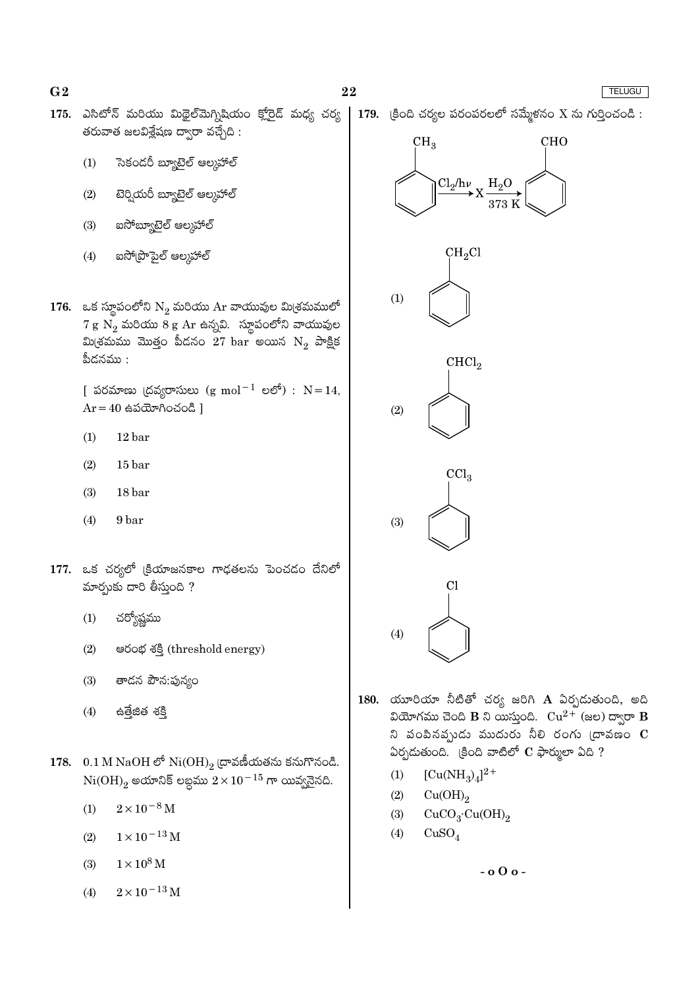$G<sub>2</sub>$ 

- 175. ఎసిటోన్ మరియు మిథైల్మెగ్నిషియం క్లోరైడ్ మధ్య చర్య తరువాత జలవిశ్లేషణ ద్వారా వచ్చేది :
	- సెకండరీ బ్యూటైల్ ఆల్కహాల్  $(1)$
	- టెర్నియరీ బ్యూటైల్ ఆల్కహాల్  $(2)$
	- ఐసోబ్యూటైల్ ఆల్కహాల్  $(3)$
	- ఐసో(పొపైల్ ఆల్మహాల్  $(4)$
- 176. ఒక స్థూపంలోని  $N_2$  మరియు Ar వాయువుల మి(శమములో  $7 g N_2$  మరియు  $8 g Ar$  ఉన్నవి. స్థూపంలోని వాయువుల మి(శమము మొత్తం పీడనం 27 bar అయిన  $N_2$  పాక్షిక పీదనము :

[ పరమాణు (దవ్యరాసులు  $(g \text{ mol}^{-1} \text{ e}^{\text{c}})$  :  $N = 14$ ,  $Ar = 40$  ఉపయోగించండి ]

- $12<sub>bar</sub>$  $(1)$
- $15<sub>bar</sub>$  $(2)$
- 18 bar  $(3)$
- $(4)$ 9 bar
- 177. ఒక చర్యలో క్రియాజనకాల గాఢతలను పెంచడం దేనిలో మార్చుకు దారి తీస్తుంది ?
	- $(1)$ చర్యోష్ణము
	- $(2)$ පරංಭ శక్తి (threshold energy)
	- తాడన పౌన:పున్యం  $(3)$
	- ఉత్తేజిత శక్తి  $(4)$
- 178.  $0.1 M NaOH \circ$ ీ $Ni(OH)_{2}$  ద్రావణీయతను కనుగొనండి.  $Ni(OH)$ <sub>2</sub> అయానిక్ లబ్ధము  $2 \times 10^{-15}$  గా యివ్వనెనది.
	- $2 \times 10^{-8}$  M  $(1)$
	- $1 \times 10^{-13}$  M  $(2)$
	- $1\times10^8\,\rm M$  $(3)$
	- $2 \times 10^{-13}$  M  $(4)$









- 180. యూరియా నీటితో చర్య జరిగి  $\bf A$  ఏర్పదుతుంది, అది వియోగము చెంది B ని యిస్తుంది.  $Cu^{2+}$  (జల) ద్వారా B ని పంపినప్పుడు ముదురు నీలి రంగు (దావణం  $\mathbf C$ ఏర్పడుతుంది. (కింది వాటిలో  $C$  ఫార్ములా ఏది ?
	- $[Cu(NH_3)_4]^{2+}$  $(1)$
	- $(2)$  $Cu(OH)<sub>2</sub>$
	- $CuCO<sub>3</sub>·Cu(OH)<sub>2</sub>$  $(3)$
	- $(4)$  $CuSO<sub>4</sub>$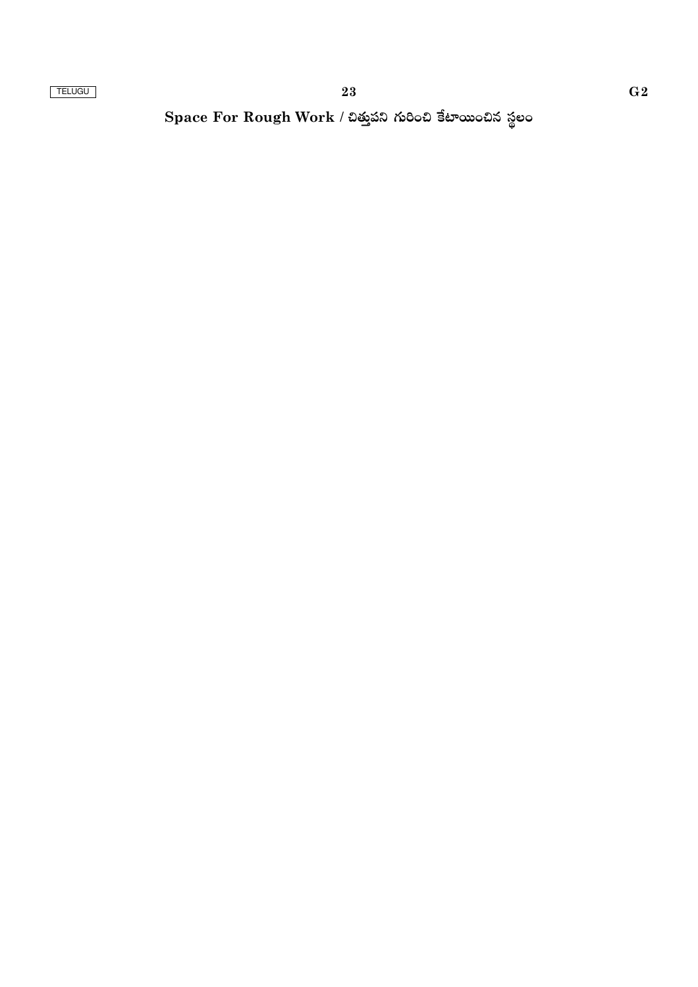Space For Rough Work / చిత్తుపని గురించి కేటాయించిన స్థలం